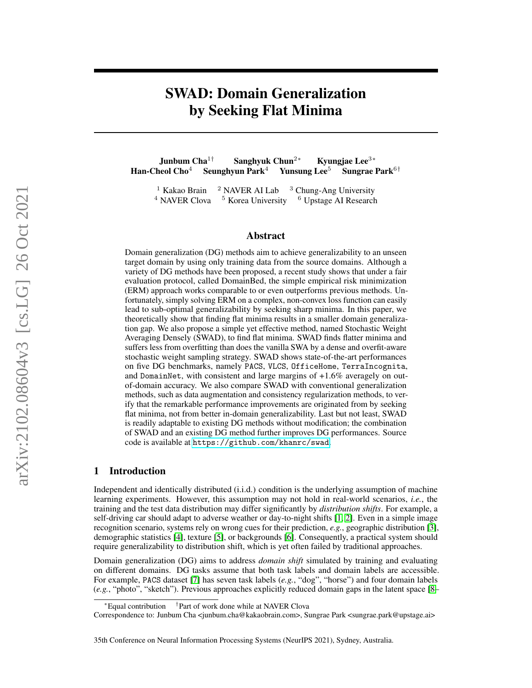# SWAD: Domain Generalization by Seeking Flat Minima

Junbum Cha<sup>1†</sup> Sanghyuk Chun<sup>2∗</sup> Kyungjae Lee<sup>3∗</sup><br>heol Cho<sup>4</sup> Seunghyun Park<sup>4</sup> Yunsung Lee<sup>5</sup> Sungrae Park<sup>6†</sup> Han-Cheol Cho<sup>4</sup> Seunghyun Park<sup>4</sup> Yunsung Lee<sup>5</sup>

<sup>1</sup> Kakao Brain  $2$  NAVER AI Lab  $3$  Chung-Ang University  $4$  NAVER Clova  $5$  Korea University  $6$  Upstage AI Research

### Abstract

Domain generalization (DG) methods aim to achieve generalizability to an unseen target domain by using only training data from the source domains. Although a variety of DG methods have been proposed, a recent study shows that under a fair evaluation protocol, called DomainBed, the simple empirical risk minimization (ERM) approach works comparable to or even outperforms previous methods. Unfortunately, simply solving ERM on a complex, non-convex loss function can easily lead to sub-optimal generalizability by seeking sharp minima. In this paper, we theoretically show that finding flat minima results in a smaller domain generalization gap. We also propose a simple yet effective method, named Stochastic Weight Averaging Densely (SWAD), to find flat minima. SWAD finds flatter minima and suffers less from overfitting than does the vanilla SWA by a dense and overfit-aware stochastic weight sampling strategy. SWAD shows state-of-the-art performances on five DG benchmarks, namely PACS, VLCS, OfficeHome, TerraIncognita, and DomainNet, with consistent and large margins of  $+1.6\%$  averagely on outof-domain accuracy. We also compare SWAD with conventional generalization methods, such as data augmentation and consistency regularization methods, to verify that the remarkable performance improvements are originated from by seeking flat minima, not from better in-domain generalizability. Last but not least, SWAD is readily adaptable to existing DG methods without modification; the combination of SWAD and an existing DG method further improves DG performances. Source code is available at <https://github.com/khanrc/swad>.

### 1 Introduction

Independent and identically distributed (i.i.d.) condition is the underlying assumption of machine learning experiments. However, this assumption may not hold in real-world scenarios, *i.e.*, the training and the test data distribution may differ significantly by *distribution shifts*. For example, a self-driving car should adapt to adverse weather or day-to-night shifts [\[1,](#page-10-0) [2\]](#page-10-1). Even in a simple image recognition scenario, systems rely on wrong cues for their prediction, *e.g.*, geographic distribution [\[3\]](#page-10-2), demographic statistics [\[4\]](#page-10-3), texture [\[5\]](#page-10-4), or backgrounds [\[6\]](#page-10-5). Consequently, a practical system should require generalizability to distribution shift, which is yet often failed by traditional approaches.

Domain generalization (DG) aims to address *domain shift* simulated by training and evaluating on different domains. DG tasks assume that both task labels and domain labels are accessible. For example, PACS dataset [\[7\]](#page-10-6) has seven task labels (*e.g.*, "dog", "horse") and four domain labels (*e.g.*, "photo", "sketch"). Previous approaches explicitly reduced domain gaps in the latent space [\[8–](#page-10-7)

<sup>∗</sup>Equal contribution † Part of work done while at NAVER Clova

Correspondence to: Junbum Cha <junbum.cha@kakaobrain.com>, Sungrae Park <sungrae.park@upstage.ai>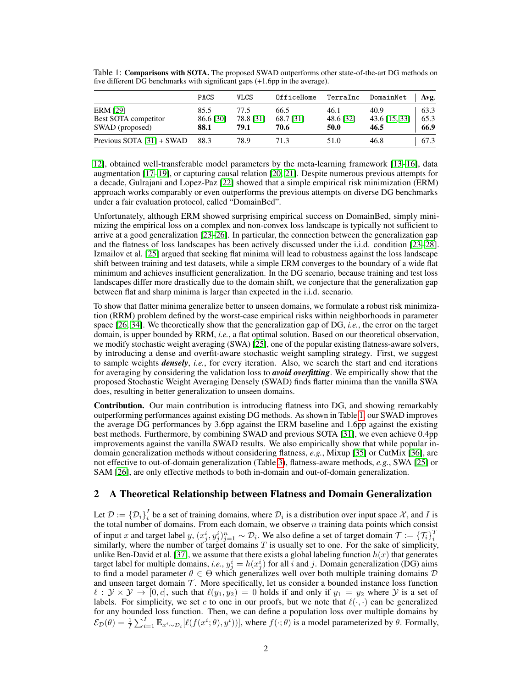|                           | <b>PACS</b> | VLCS      | OfficeHome | TerraInc  | DomainNet     | Avg. |
|---------------------------|-------------|-----------|------------|-----------|---------------|------|
| <b>ERM [29]</b>           | 85.5        | 77.5      | 66.5       | 46.1      | 40.9          | 63.3 |
| Best SOTA competitor      | 86.6 [30]   | 78.8 [31] | 68.7 [31]  | 48.6 [32] | 43.6 [15, 33] | 65.3 |
| SWAD (proposed)           | 88.1        | 79.1      | 70.6       | 50.0      | 46.5          | 66.9 |
| Previous SOTA [31] + SWAD | 88.3        | 78.9      | 71 3       | 51.0      | 46.8          | 67.3 |

<span id="page-1-0"></span>Table 1: Comparisons with SOTA. The proposed SWAD outperforms other state-of-the-art DG methods on five different DG benchmarks with significant gaps (+1.6pp in the average).

[12\]](#page-10-9), obtained well-transferable model parameters by the meta-learning framework [\[13–](#page-10-10)[16\]](#page-10-11), data augmentation [\[17](#page-11-5)[–19\]](#page-11-6), or capturing causal relation [\[20,](#page-11-7) [21\]](#page-11-8). Despite numerous previous attempts for a decade, Gulrajani and Lopez-Paz [\[22\]](#page-11-9) showed that a simple empirical risk minimization (ERM) approach works comparably or even outperforms the previous attempts on diverse DG benchmarks under a fair evaluation protocol, called "DomainBed".

Unfortunately, although ERM showed surprising empirical success on DomainBed, simply minimizing the empirical loss on a complex and non-convex loss landscape is typically not sufficient to arrive at a good generalization [\[23–](#page-11-10)[26\]](#page-11-11). In particular, the connection between the generalization gap and the flatness of loss landscapes has been actively discussed under the i.i.d. condition [\[23–](#page-11-10)[28\]](#page-11-12). Izmailov et al. [\[25\]](#page-11-13) argued that seeking flat minima will lead to robustness against the loss landscape shift between training and test datasets, while a simple ERM converges to the boundary of a wide flat minimum and achieves insufficient generalization. In the DG scenario, because training and test loss landscapes differ more drastically due to the domain shift, we conjecture that the generalization gap between flat and sharp minima is larger than expected in the i.i.d. scenario.

To show that flatter minima generalize better to unseen domains, we formulate a robust risk minimization (RRM) problem defined by the worst-case empirical risks within neighborhoods in parameter space [\[26,](#page-11-11) [34\]](#page-11-14). We theoretically show that the generalization gap of DG, *i.e.*, the error on the target domain, is upper bounded by RRM, *i.e.*, a flat optimal solution. Based on our theoretical observation, we modify stochastic weight averaging (SWA) [\[25\]](#page-11-13), one of the popular existing flatness-aware solvers, by introducing a dense and overfit-aware stochastic weight sampling strategy. First, we suggest to sample weights *densely*, *i.e.*, for every iteration. Also, we search the start and end iterations for averaging by considering the validation loss to *avoid overfitting*. We empirically show that the proposed Stochastic Weight Averaging Densely (SWAD) finds flatter minima than the vanilla SWA does, resulting in better generalization to unseen domains.

Contribution. Our main contribution is introducing flatness into DG, and showing remarkably outperforming performances against existing DG methods. As shown in Table [1,](#page-1-0) our SWAD improves the average DG performances by 3.6pp against the ERM baseline and 1.6pp against the existing best methods. Furthermore, by combining SWAD and previous SOTA [\[31\]](#page-11-2), we even achieve 0.4pp improvements against the vanilla SWAD results. We also empirically show that while popular indomain generalization methods without considering flatness, *e.g.*, Mixup [\[35\]](#page-12-0) or CutMix [\[36\]](#page-12-1), are not effective to out-of-domain generalization (Table [3\)](#page-7-0), flatness-aware methods, *e.g.*, SWA [\[25\]](#page-11-13) or SAM [\[26\]](#page-11-11), are only effective methods to both in-domain and out-of-domain generalization.

# 2 A Theoretical Relationship between Flatness and Domain Generalization

Let  $\mathcal{D} := \{ \mathcal{D}_i \}_{i}^I$  be a set of training domains, where  $\mathcal{D}_i$  is a distribution over input space X, and I is the total number of domains. From each domain, we observe  $n$  training data points which consist of input x and target label y,  $(x_j^i, y_j^i)_{j=1}^n \sim \mathcal{D}_i$ . We also define a set of target domain  $\mathcal{T} := {\{\mathcal{T}_i\}}_i^T$  similarly, where the number of target domains T is usually set to one. For the sake of simplicity, unlike Ben-David et al. [\[37\]](#page-12-2), we assume that there exists a global labeling function  $h(x)$  that generates target label for multiple domains, *i.e.*,  $y_j^i = h(x_j^i)$  for all i and j. Domain generalization (DG) aims to find a model parameter  $\theta \in \Theta$  which generalizes well over both multiple training domains  $\mathcal D$ and unseen target domain  $T$ . More specifically, let us consider a bounded instance loss function  $\ell : \mathcal{Y} \times \mathcal{Y} \to [0, c],$  such that  $\ell(y_1, y_2) = 0$  holds if and only if  $y_1 = y_2$  where  $\mathcal{Y}$  is a set of labels. For simplicity, we set c to one in our proofs, but we note that  $\ell(\cdot, \cdot)$  can be generalized for any bounded loss function. Then, we can define a population loss over multiple domains by  $\mathcal{E}_{\mathcal{D}}(\theta) = \frac{1}{I} \sum_{i=1}^{I} \mathbb{E}_{x_i \sim \mathcal{D}_i} [\ell(f(x_i^i; \theta), y_i^i))]$ , where  $f(\cdot; \theta)$  is a model parameterized by  $\theta$ . Formally,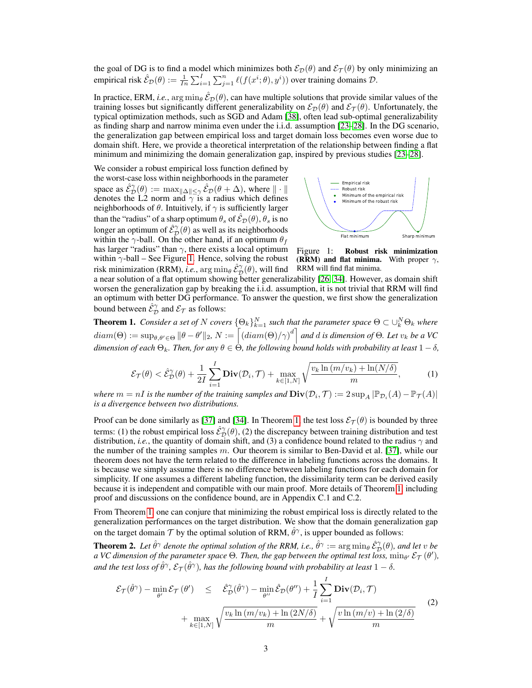the goal of DG is to find a model which minimizes both  $\mathcal{E}_{\mathcal{D}}(\theta)$  and  $\mathcal{E}_{\mathcal{T}}(\theta)$  by only minimizing an empirical risk  $\hat{\mathcal{E}}_\mathcal{D}(\theta) := \frac{1}{In} \sum_{i=1}^I \sum_{j=1}^n \ell(f(x^i;\theta), y^i))$  over training domains  $\mathcal{D}$ .

In practice, ERM, *i.e.*, arg min<sub> $\theta$ </sub>  $\mathcal{E}_D(\theta)$ , can have multiple solutions that provide similar values of the training losses but significantly different generalizability on  $\mathcal{E}_\mathcal{D}(\theta)$  and  $\mathcal{E}_\mathcal{T}(\theta)$ . Unfortunately, the typical optimization methods, such as SGD and Adam [\[38\]](#page-12-3), often lead sub-optimal generalizability as finding sharp and narrow minima even under the i.i.d. assumption [\[23–](#page-11-10)[28\]](#page-11-12). In the DG scenario, the generalization gap between empirical loss and target domain loss becomes even worse due to domain shift. Here, we provide a theoretical interpretation of the relationship between finding a flat minimum and minimizing the domain generalization gap, inspired by previous studies [\[23–](#page-11-10)[28\]](#page-11-12).

We consider a robust empirical loss function defined by the worst-case loss within neighborhoods in the parameter space as  $\hat{\mathcal{E}}_{\mathcal{D}}^{\gamma}(\theta) := \max_{\|\Delta\| \leq \gamma} \hat{\mathcal{E}}_{\mathcal{D}}(\theta + \Delta)$ , where  $\|\cdot\|$ denotes the L2 norm and  $\gamma$  is a radius which defines neighborhoods of  $\theta$ . Intuitively, if  $\gamma$  is sufficiently larger than the "radius" of a sharp optimum  $\theta_s$  of  $\mathcal{E}_D(\theta)$ ,  $\theta_s$  is no longer an optimum of  $\hat{\mathcal{E}}_{\mathcal{D}}^{\gamma}(\theta)$  as well as its neighborhoods within the  $\gamma$ -ball. On the other hand, if an optimum  $\theta_f$ has larger "radius" than  $\gamma$ , there exists a local optimum within  $\gamma$ -ball – See Figure [1.](#page-2-0) Hence, solving the robust risk minimization (RRM), *i.e.*,  $\arg\min_{\theta} \hat{\mathcal{E}}^{\gamma}_\mathcal{D}(\theta),$  will find

<span id="page-2-0"></span>

Figure 1: Robust risk minimization (RRM) and flat minima. With proper  $\gamma$ , RRM will find flat minima.

a near solution of a flat optimum showing better generalizability [\[26,](#page-11-11) [34\]](#page-11-14). However, as domain shift worsen the generalization gap by breaking the i.i.d. assumption, it is not trivial that RRM will find an optimum with better DG performance. To answer the question, we first show the generalization bound between  $\hat{\mathcal{E}}_{\mathcal{D}}^{\gamma}$  and  $\mathcal{E}_{\mathcal{T}}$  as follows:

<span id="page-2-1"></span>**Theorem 1.** Consider a set of N covers  $\{\Theta_k\}_{k=1}^N$  such that the parameter space  $\Theta\subset\cup_k^N\Theta_k$  where  $diam(\Theta) := \sup_{\theta, \theta' \in \Theta} \|\theta - \theta'\|_2$ ,  $N := \left\lceil (diam(\Theta)/\gamma)^d \right\rceil$  and  $d$  is dimension of  $\Theta$ . Let  $v_k$  be a VC *dimension of each*  $\Theta_k$ *. Then, for any*  $\theta \in \Theta$ *, the following bound holds with probability at least*  $1 - \delta$ *,* 

$$
\mathcal{E}_{\mathcal{T}}(\theta) < \hat{\mathcal{E}}_{\mathcal{D}}^{\gamma}(\theta) + \frac{1}{2I} \sum_{i=1}^{I} \mathbf{Div}(\mathcal{D}_i, \mathcal{T}) + \max_{k \in [1, N]} \sqrt{\frac{v_k \ln(m/v_k) + \ln(N/\delta)}{m}},\tag{1}
$$

*where*  $m = nI$  *is the number of the training samples and*  $\text{Div}(\mathcal{D}_i, \mathcal{T}) := 2 \sup_A |\mathbb{P}_{\mathcal{D}_i}(A) - \mathbb{P}_{\mathcal{T}}(A)|$ *is a divergence between two distributions.*

Proof can be done similarly as [\[37\]](#page-12-2) and [\[34\]](#page-11-14). In Theorem [1,](#page-2-1) the test loss  $\mathcal{E}_{T}(\theta)$  is bounded by three terms: (1) the robust empirical loss  $\hat{E}_{\mathcal{D}}^{\gamma}(\theta)$ , (2) the discrepancy between training distribution and test distribution, *i.e.*, the quantity of domain shift, and (3) a confidence bound related to the radius  $\gamma$  and the number of the training samples  $m$ . Our theorem is similar to Ben-David et al. [\[37\]](#page-12-2), while our theorem does not have the term related to the difference in labeling functions across the domains. It is because we simply assume there is no difference between labeling functions for each domain for simplicity. If one assumes a different labeling function, the dissimilarity term can be derived easily because it is independent and compatible with our main proof. More details of Theorem [1,](#page-2-1) including proof and discussions on the confidence bound, are in Appendix C.1 and C.2.

From Theorem [1,](#page-2-1) one can conjure that minimizing the robust empirical loss is directly related to the generalization performances on the target distribution. We show that the domain generalization gap on the target domain  $\mathcal T$  by the optimal solution of RRM,  $\hat{\theta}^{\gamma}$ , is upper bounded as follows:

<span id="page-2-2"></span>**Theorem 2.** Let  $\hat{\theta}^{\gamma}$  denote the optimal solution of the RRM, i.e.,  $\hat{\theta}^{\gamma}:=\arg\min_{\theta}\hat{\mathcal{E}}^{\gamma}_{\mathcal{D}}(\theta)$ , and let v be a VC dimension of the parameter space  $\Theta$ . Then, the gap between the optimal test loss,  $\min_{\theta'} \mathcal{E}_{\mathcal{T}} (\theta'),$ and the test loss of  $\hat{\theta}^\gamma$ ,  $\mathcal{E}_\mathcal{T}(\hat{\theta}^\gamma)$ , has the following bound with probability at least  $1-\delta$ .

$$
\mathcal{E}_{\mathcal{T}}(\hat{\theta}^{\gamma}) - \min_{\theta'} \mathcal{E}_{\mathcal{T}}(\theta') \leq \hat{\mathcal{E}}_{\mathcal{D}}^{\gamma}(\hat{\theta}^{\gamma}) - \min_{\theta''} \hat{\mathcal{E}}_{\mathcal{D}}(\theta'') + \frac{1}{I} \sum_{i=1}^{I} \mathbf{Div}(\mathcal{D}_{i}, \mathcal{T}) + \max_{k \in [1, N]} \sqrt{\frac{v_{k} \ln(m/v_{k}) + \ln(2N/\delta)}{m}} + \sqrt{\frac{v \ln(m/v) + \ln(2/\delta)}{m}}
$$
(2)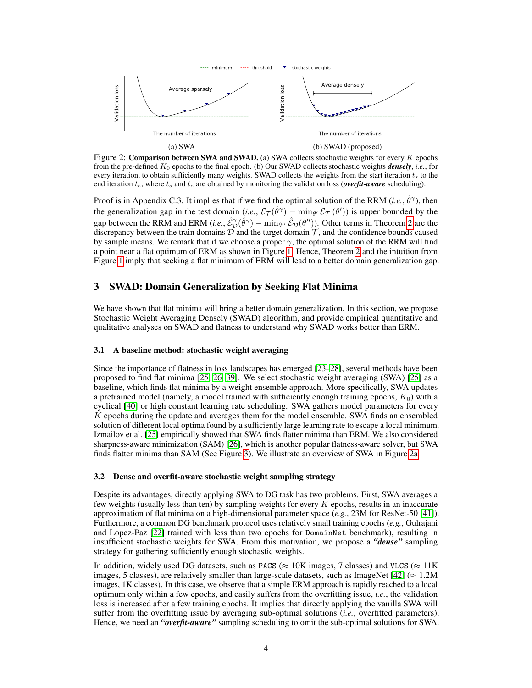<span id="page-3-0"></span>

Figure 2: Comparison between SWA and SWAD. (a) SWA collects stochastic weights for every  $K$  epochs from the pre-defined K<sup>0</sup> epochs to the final epoch. (b) Our SWAD collects stochastic weights *densely*, *i.e.*, for every iteration, to obtain sufficiently many weights. SWAD collects the weights from the start iteration  $t_s$  to the end iteration  $t_e$ , where  $t_s$  and  $t_e$  are obtained by monitoring the validation loss (*overfit-aware* scheduling).

Proof is in Appendix C.3. It implies that if we find the optimal solution of the RRM (*i.e.*,  $\hat{\theta}^{\gamma}$ ), then the generalization gap in the test domain (*i.e.*,  $\mathcal{E}_{\mathcal{T}}(\hat{\theta}^{\gamma}) - \min_{\theta'} \mathcal{E}_{\mathcal{T}}(\theta')$ ) is upper bounded by the gap between the RRM and ERM (*i.e.*,  $\hat{\mathcal{E}}_{\mathcal{D}}^{\gamma}(\hat{\theta}^{\gamma}) - \min_{\theta''} \hat{\mathcal{E}}_{\mathcal{D}}(\theta'')$ ). Other terms in Theorem [2](#page-2-2) are the discrepancy between the train domains  $\mathcal D$  and the target domain  $\mathcal T$ , and the confidence bounds caused by sample means. We remark that if we choose a proper  $\gamma$ , the optimal solution of the RRM will find a point near a flat optimum of ERM as shown in Figure [1.](#page-2-0) Hence, Theorem [2](#page-2-2) and the intuition from Figure [1](#page-2-0) imply that seeking a flat minimum of ERM will lead to a better domain generalization gap.

# 3 SWAD: Domain Generalization by Seeking Flat Minima

We have shown that flat minima will bring a better domain generalization. In this section, we propose Stochastic Weight Averaging Densely (SWAD) algorithm, and provide empirical quantitative and qualitative analyses on SWAD and flatness to understand why SWAD works better than ERM.

#### 3.1 A baseline method: stochastic weight averaging

Since the importance of flatness in loss landscapes has emerged [\[23](#page-11-10)[–28\]](#page-11-12), several methods have been proposed to find flat minima [\[25,](#page-11-13) [26,](#page-11-11) [39\]](#page-12-4). We select stochastic weight averaging (SWA) [\[25\]](#page-11-13) as a baseline, which finds flat minima by a weight ensemble approach. More specifically, SWA updates a pretrained model (namely, a model trained with sufficiently enough training epochs,  $K_0$ ) with a cyclical [\[40\]](#page-12-5) or high constant learning rate scheduling. SWA gathers model parameters for every  $K$  epochs during the update and averages them for the model ensemble. SWA finds an ensembled solution of different local optima found by a sufficiently large learning rate to escape a local minimum. Izmailov et al. [\[25\]](#page-11-13) empirically showed that SWA finds flatter minima than ERM. We also considered sharpness-aware minimization (SAM) [\[26\]](#page-11-11), which is another popular flatness-aware solver, but SWA finds flatter minima than SAM (See Figure [3\)](#page-4-0). We illustrate an overview of SWA in Figure [2a.](#page-3-0)

#### 3.2 Dense and overfit-aware stochastic weight sampling strategy

Despite its advantages, directly applying SWA to DG task has two problems. First, SWA averages a few weights (usually less than ten) by sampling weights for every  $K$  epochs, results in an inaccurate approximation of flat minima on a high-dimensional parameter space (*e.g.*, 23M for ResNet-50 [\[41\]](#page-12-6)). Furthermore, a common DG benchmark protocol uses relatively small training epochs (*e.g.*, Gulrajani and Lopez-Paz [\[22\]](#page-11-9) trained with less than two epochs for DomainNet benchmark), resulting in insufficient stochastic weights for SWA. From this motivation, we propose a *"dense"* sampling strategy for gathering sufficiently enough stochastic weights.

In addition, widely used DG datasets, such as PACS ( $\approx 10K$  images, 7 classes) and VLCS ( $\approx 11K$ images, 5 classes), are relatively smaller than large-scale datasets, such as ImageNet [\[42\]](#page-12-7) ( $\approx 1.2M$ images, 1K classes). In this case, we observe that a simple ERM approach is rapidly reached to a local optimum only within a few epochs, and easily suffers from the overfitting issue, *i.e.*, the validation loss is increased after a few training epochs. It implies that directly applying the vanilla SWA will suffer from the overfitting issue by averaging sub-optimal solutions (*i.e.*, overfitted parameters). Hence, we need an *"overfit-aware"* sampling scheduling to omit the sub-optimal solutions for SWA.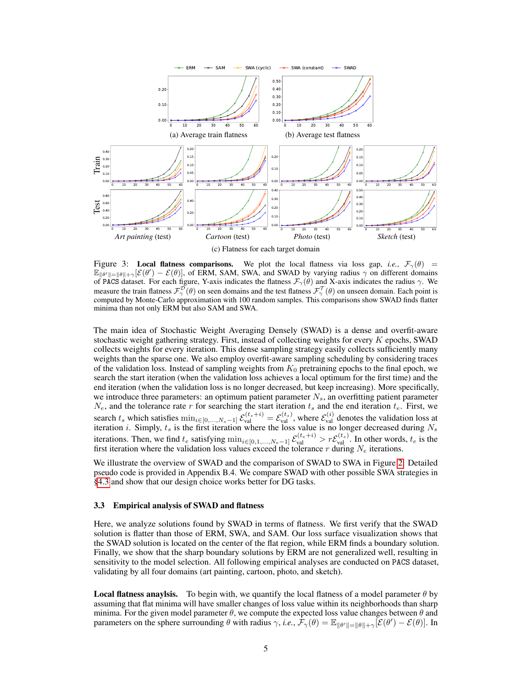<span id="page-4-0"></span>

Figure 3: Local flatness comparisons. We plot the local flatness via loss gap, *i.e.*,  $\mathcal{F}_{\gamma}(\theta)$  =  $\mathbb{E}_{\|\theta'\|=\|\theta\|+\gamma}[\mathcal{E}(\theta')-\mathcal{E}(\theta)]$ , of ERM, SAM, SWA, and SWAD by varying radius  $\gamma$  on different domains of PACS dataset. For each figure, Y-axis indicates the flatness  $\mathcal{F}_{\gamma}(\theta)$  and X-axis indicates the radius  $\gamma$ . We measure the train flatness  $\mathcal{F}^{\mathcal{D}}_{\gamma}(\theta)$  on seen domains and the test flatness  $\mathcal{F}^{\mathcal{T}}_{\gamma}(\theta)$  on unseen domain. Each point is computed by Monte-Carlo approximation with 100 random samples. This comparisons show SWAD finds flatter minima than not only ERM but also SAM and SWA.

The main idea of Stochastic Weight Averaging Densely (SWAD) is a dense and overfit-aware stochastic weight gathering strategy. First, instead of collecting weights for every K epochs, SWAD collects weights for every iteration. This dense sampling strategy easily collects sufficiently many weights than the sparse one. We also employ overfit-aware sampling scheduling by considering traces of the validation loss. Instead of sampling weights from  $K_0$  pretraining epochs to the final epoch, we search the start iteration (when the validation loss achieves a local optimum for the first time) and the end iteration (when the validation loss is no longer decreased, but keep increasing). More specifically, we introduce three parameters: an optimum patient parameter  $N<sub>s</sub>$ , an overfitting patient parameter  $N_e$ , and the tolerance rate r for searching the start iteration  $t_s$  and the end iteration  $t_e$ . First, we search  $t_s$  which satisfies  $\min_{i \in [0,\dots,N_s-1]} \mathcal{E}_{val}^{(t_s+i)} = \mathcal{E}_{val}^{(t_s)}$ , where  $\mathcal{E}_{val}^{(i)}$  denotes the validation loss at iteration *i*. Simply,  $t_s$  is the first iteration where the loss value is no longer decreased during  $N_s$ iterations. Then, we find  $t_e$  satisfying  $\min_{i \in [0,1,...,N_e-1]} \mathcal{E}_{val}^{(t_e+i)} > r \mathcal{E}_{val}^{(t_s)}$ . In other words,  $t_e$  is the first iteration where the validation loss values exceed the tolerance  $r$  during  $N_e$  iterations.

We illustrate the overview of SWAD and the comparison of SWAD to SWA in Figure [2.](#page-3-0) Detailed pseudo code is provided in Appendix B.4. We compare SWAD with other possible SWA strategies in [§4.3](#page-8-0) and show that our design choice works better for DG tasks.

#### 3.3 Empirical analysis of SWAD and flatness

Here, we analyze solutions found by SWAD in terms of flatness. We first verify that the SWAD solution is flatter than those of ERM, SWA, and SAM. Our loss surface visualization shows that the SWAD solution is located on the center of the flat region, while ERM finds a boundary solution. Finally, we show that the sharp boundary solutions by ERM are not generalized well, resulting in sensitivity to the model selection. All following empirical analyses are conducted on PACS dataset, validating by all four domains (art painting, cartoon, photo, and sketch).

**Local flatness anaylsis.** To begin with, we quantify the local flatness of a model parameter  $\theta$  by assuming that flat minima will have smaller changes of loss value within its neighborhoods than sharp minima. For the given model parameter  $\theta$ , we compute the expected loss value changes between  $\theta$  and parameters on the sphere surrounding  $\theta$  with radius  $\gamma$ , *i.e.*,  $\dot{\mathcal{F}}_{\gamma}(\theta) = \mathbb{E}_{\|\theta'\|=\|\theta\|+\gamma}[\mathcal{E}(\theta')-\mathcal{E}(\theta)].$  In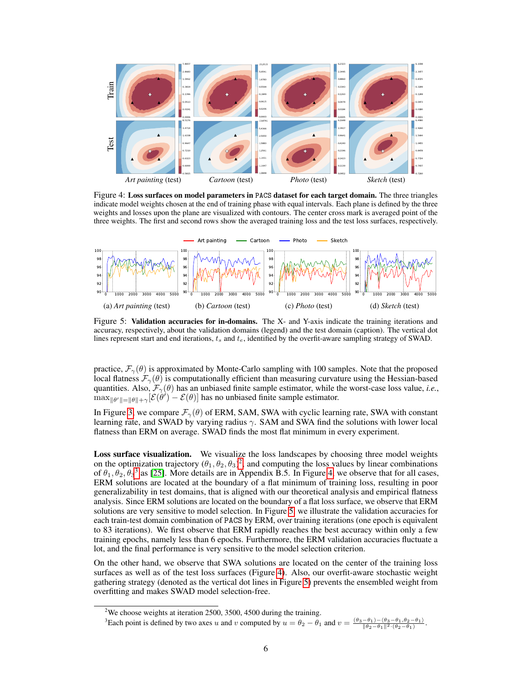<span id="page-5-2"></span>

Figure 4: Loss surfaces on model parameters in PACS dataset for each target domain. The three triangles indicate model weights chosen at the end of training phase with equal intervals. Each plane is defined by the three weights and losses upon the plane are visualized with contours. The center cross mark is averaged point of the three weights. The first and second rows show the averaged training loss and the test loss surfaces, respectively.

<span id="page-5-3"></span>

Figure 5: Validation accuracies for in-domains. The X- and Y-axis indicate the training iterations and accuracy, respectively, about the validation domains (legend) and the test domain (caption). The vertical dot lines represent start and end iterations,  $t_s$  and  $t_e$ , identified by the overfit-aware sampling strategy of SWAD.

practice,  $\mathcal{F}_{\gamma}(\theta)$  is approximated by Monte-Carlo sampling with 100 samples. Note that the proposed local flatness  $\mathcal{F}_{\gamma}(\theta)$  is computationally efficient than measuring curvature using the Hessian-based quantities. Also,  $\mathcal{F}_{\gamma}(\theta)$  has an unbiased finite sample estimator, while the worst-case loss value, *i.e.*,  $\max_{\|\theta'\|=\|\theta\|+\gamma}[\mathcal{E}(\theta')-\mathcal{E}(\theta)]$  has no unbiased finite sample estimator.

In Figure [3,](#page-4-0) we compare  $\mathcal{F}_{\gamma}(\theta)$  of ERM, SAM, SWA with cyclic learning rate, SWA with constant learning rate, and SWAD by varying radius  $\gamma$ . SAM and SWA find the solutions with lower local flatness than ERM on average. SWAD finds the most flat minimum in every experiment.

Loss surface visualization. We visualize the loss landscapes by choosing three model weights on the optimization trajectory  $(\theta_1, \theta_2, \theta_3)^2$  $(\theta_1, \theta_2, \theta_3)^2$  $(\theta_1, \theta_2, \theta_3)^2$ , and computing the loss values by linear combinations of  $\theta_1, \theta_2, \theta_3$  $\theta_1, \theta_2, \theta_3$ <sup>3</sup> as [\[25\]](#page-11-13). More details are in Appendix B.5. In Figure [4,](#page-5-2) we observe that for all cases, ERM solutions are located at the boundary of a flat minimum of training loss, resulting in poor generalizability in test domains, that is aligned with our theoretical analysis and empirical flatness analysis. Since ERM solutions are located on the boundary of a flat loss surface, we observe that ERM solutions are very sensitive to model selection. In Figure [5,](#page-5-3) we illustrate the validation accuracies for each train-test domain combination of PACS by ERM, over training iterations (one epoch is equivalent to 83 iterations). We first observe that ERM rapidly reaches the best accuracy within only a few training epochs, namely less than 6 epochs. Furthermore, the ERM validation accuracies fluctuate a lot, and the final performance is very sensitive to the model selection criterion.

On the other hand, we observe that SWA solutions are located on the center of the training loss surfaces as well as of the test loss surfaces (Figure [4\)](#page-5-2). Also, our overfit-aware stochastic weight gathering strategy (denoted as the vertical dot lines in Figure [5\)](#page-5-3) prevents the ensembled weight from overfitting and makes SWAD model selection-free.

.

<span id="page-5-0"></span><sup>&</sup>lt;sup>2</sup>We choose weights at iteration 2500, 3500, 4500 during the training.

<span id="page-5-1"></span><sup>&</sup>lt;sup>3</sup>Each point is defined by two axes u and v computed by  $u = \theta_2 - \theta_1$  and  $v = \frac{(\theta_3 - \theta_1) - (\theta_3 - \theta_1, \theta_2 - \theta_1)}{\|\theta_2 - \theta_1\|^2 \cdot (\theta_2 - \theta_1)}$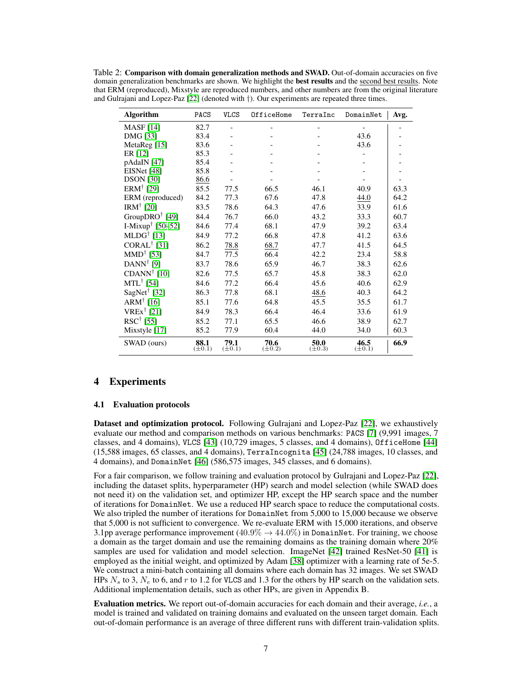<span id="page-6-0"></span>Table 2: Comparison with domain generalization methods and SWAD. Out-of-domain accuracies on five domain generalization benchmarks are shown. We highlight the **best results** and the second best results. Note that ERM (reproduced), Mixstyle are reproduced numbers, and other numbers are from the original literature and Gulrajani and Lopez-Paz [\[22\]](#page-11-9) (denoted with †). Our experiments are repeated three times.

| <b>Algorithm</b>                         | PACS                | <b>VLCS</b>         | OfficeHome          | TerraInc            | DomainNet           | Avg. |
|------------------------------------------|---------------------|---------------------|---------------------|---------------------|---------------------|------|
| <b>MASF</b> [14]                         | 82.7                |                     |                     |                     |                     |      |
| <b>DMG</b> [33]                          | 83.4                |                     |                     |                     | 43.6                |      |
| MetaReg <sup>[15]</sup>                  | 83.6                |                     |                     |                     | 43.6                |      |
| ER $[12]$                                | 85.3                |                     |                     |                     |                     |      |
| pAdaIN [47]                              | 85.4                |                     |                     |                     |                     |      |
| EISNet [48]                              | 85.8                |                     |                     |                     |                     |      |
| <b>DSON</b> [30]                         | 86.6                |                     |                     |                     |                     |      |
| ERM <sup>†</sup> [29]                    | 85.5                | 77.5                | 66.5                | 46.1                | 40.9                | 63.3 |
| ERM (reproduced)                         | 84.2                | 77.3                | 67.6                | 47.8                | 44.0                | 64.2 |
| IRM <sup>†</sup> [20]                    | 83.5                | 78.6                | 64.3                | 47.6                | 33.9                | 61.6 |
| GroupDRO $\dagger$ [49]                  | 84.4                | 76.7                | 66.0                | 43.2                | 33.3                | 60.7 |
| I-Mixup <sup>†</sup> [50–52]             | 84.6                | 77.4                | 68.1                | 47.9                | 39.2                | 63.4 |
| $MLDG^{\dagger}$ [13]                    | 84.9                | 77.2                | 66.8                | 47.8                | 41.2                | 63.6 |
| CORAL <sup>†</sup> [31]                  | 86.2                | 78.8                | 68.7                | 47.7                | 41.5                | 64.5 |
| MMD <sup>†</sup> [53]                    | 84.7                | 77.5                | 66.4                | 42.2                | 23.4                | 58.8 |
| DANN <sup>†</sup> [9]                    | 83.7                | 78.6                | 65.9                | 46.7                | 38.3                | 62.6 |
| CDANN <sup>†</sup> [10]                  | 82.6                | 77.5                | 65.7                | 45.8                | 38.3                | 62.0 |
| $MTL^{\dagger}$ [54]                     | 84.6                | 77.2                | 66.4                | 45.6                | 40.6                | 62.9 |
| SagNet <sup>†</sup> [32]                 | 86.3                | 77.8                | 68.1                | 48.6                | 40.3                | 64.2 |
| ARM <sup><math>\dagger</math></sup> [16] | 85.1                | 77.6                | 64.8                | 45.5                | 35.5                | 61.7 |
| $VREx^{\dagger}$ [21]                    | 84.9                | 78.3                | 66.4                | 46.4                | 33.6                | 61.9 |
| $RSC^{\dagger}$ [55]                     | 85.2                | 77.1                | 65.5                | 46.6                | 38.9                | 62.7 |
| Mixstyle [17]                            | 85.2                | 77.9                | 60.4                | 44.0                | 34.0                | 60.3 |
| SWAD (ours)                              | 88.1<br>$(\pm 0.1)$ | 79.1<br>$(\pm 0.1)$ | 70.6<br>$(\pm 0.2)$ | 50.0<br>$(\pm 0.3)$ | 46.5<br>$(\pm 0.1)$ | 66.9 |

# 4 Experiments

#### 4.1 Evaluation protocols

Dataset and optimization protocol. Following Gulrajani and Lopez-Paz [\[22\]](#page-11-9), we exhaustively evaluate our method and comparison methods on various benchmarks: PACS [\[7\]](#page-10-6) (9,991 images, 7 classes, and 4 domains), VLCS [\[43\]](#page-12-13) (10,729 images, 5 classes, and 4 domains), OfficeHome [\[44\]](#page-12-14) (15,588 images, 65 classes, and 4 domains), TerraIncognita [\[45\]](#page-12-15) (24,788 images, 10 classes, and 4 domains), and DomainNet [\[46\]](#page-12-16) (586,575 images, 345 classes, and 6 domains).

For a fair comparison, we follow training and evaluation protocol by Gulrajani and Lopez-Paz [\[22\]](#page-11-9), including the dataset splits, hyperparameter (HP) search and model selection (while SWAD does not need it) on the validation set, and optimizer HP, except the HP search space and the number of iterations for DomainNet. We use a reduced HP search space to reduce the computational costs. We also tripled the number of iterations for DomainNet from 5,000 to 15,000 because we observe that 5,000 is not sufficient to convergence. We re-evaluate ERM with 15,000 iterations, and observe 3.1pp average performance improvement  $(40.9\% \rightarrow 44.0\%)$  in DomainNet. For training, we choose a domain as the target domain and use the remaining domains as the training domain where 20% samples are used for validation and model selection. ImageNet [\[42\]](#page-12-7) trained ResNet-50 [\[41\]](#page-12-6) is employed as the initial weight, and optimized by Adam [\[38\]](#page-12-3) optimizer with a learning rate of 5e-5. We construct a mini-batch containing all domains where each domain has 32 images. We set SWAD HPs  $N_s$  to 3,  $N_e$  to 6, and r to 1.2 for VLCS and 1.3 for the others by HP search on the validation sets. Additional implementation details, such as other HPs, are given in Appendix B.

Evaluation metrics. We report out-of-domain accuracies for each domain and their average, *i.e.*, a model is trained and validated on training domains and evaluated on the unseen target domain. Each out-of-domain performance is an average of three different runs with different train-validation splits.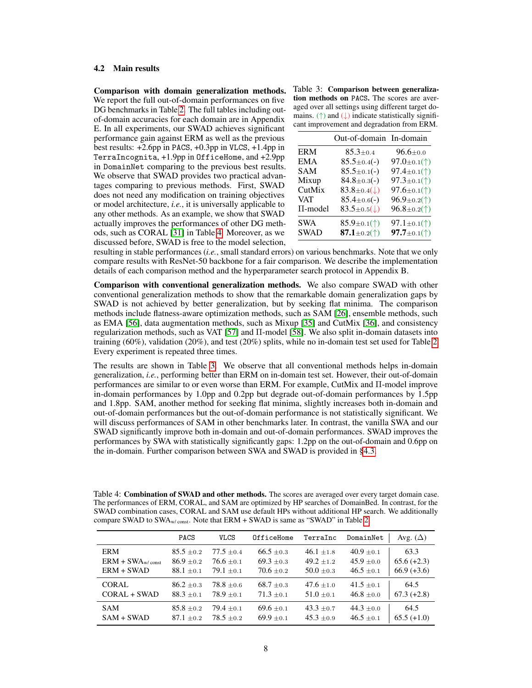#### 4.2 Main results

Comparison with domain generalization methods. We report the full out-of-domain performances on five DG benchmarks in Table [2.](#page-6-0) The full tables including outof-domain accuracies for each domain are in Appendix E. In all experiments, our SWAD achieves significant performance gain against ERM as well as the previous best results:  $+2.6$ pp in PACS,  $+0.3$ pp in VLCS,  $+1.4$ pp in TerraIncognita, +1.9pp in OfficeHome, and +2.9pp in DomainNet comparing to the previous best results. We observe that SWAD provides two practical advantages comparing to previous methods. First, SWAD does not need any modification on training objectives or model architecture, *i.e.*, it is universally applicable to any other methods. As an example, we show that SWAD actually improves the performances of other DG methods, such as CORAL [\[31\]](#page-11-2) in Table [4.](#page-7-1) Moreover, as we discussed before, SWAD is free to the model selection,

<span id="page-7-0"></span>Table 3: Comparison between generalization methods on PACS. The scores are averaged over all settings using different target domains. ( $\uparrow$ ) and  $(\downarrow)$  indicate statistically significant improvement and degradation from ERM.

|              | Out-of-domain In-domain  |                                |
|--------------|--------------------------|--------------------------------|
| <b>ERM</b>   | $85.3 \pm 0.4$           | $96.6 \pm 0.0$                 |
| <b>EMA</b>   | $85.5 \pm 0.4(-)$        | 97.0±0.1( $\uparrow$ )         |
| <b>SAM</b>   | $85.5 \pm 0.1(-)$        | 97.4 $\pm$ 0.1( $\uparrow$ )   |
| Mixup        | $84.8 \pm 0.3(-)$        | 97.3±0.1( $\uparrow$ )         |
| CutMix       | $83.8\pm0.4(\downarrow)$ | 97.6 $\pm$ 0.1(†)              |
| <b>VAT</b>   | $85.4 \pm 0.6(-)$        | $96.9 \pm 0.2($ <sup>*</sup> ) |
| $\Pi$ -model | $83.5\pm0.5(\downarrow)$ | $96.8 \pm 0.2($                |
| <b>SWA</b>   | 85.9 $\pm$ 0.1(†)        | 97.1 $\pm$ 0.1( $\uparrow$ )   |
| <b>SWAD</b>  | 87.1 $\pm$ 0.2(†)        | 97.7 $\pm$ 0.1( $\uparrow$ )   |

resulting in stable performances (*i.e.*, small standard errors) on various benchmarks. Note that we only compare results with ResNet-50 backbone for a fair comparison. We describe the implementation details of each comparison method and the hyperparameter search protocol in Appendix B.

Comparison with conventional generalization methods. We also compare SWAD with other conventional generalization methods to show that the remarkable domain generalization gaps by SWAD is not achieved by better generalization, but by seeking flat minima. The comparison methods include flatness-aware optimization methods, such as SAM [\[26\]](#page-11-11), ensemble methods, such as EMA [\[56\]](#page-13-3), data augmentation methods, such as Mixup [\[35\]](#page-12-0) and CutMix [\[36\]](#page-12-1), and consistency regularization methods, such as VAT [\[57\]](#page-13-4) and Π-model [\[58\]](#page-13-5). We also split in-domain datasets into training (60%), validation (20%), and test (20%) splits, while no in-domain test set used for Table [2.](#page-6-0) Every experiment is repeated three times.

The results are shown in Table [3.](#page-7-0) We observe that all conventional methods helps in-domain generalization, *i.e.*, performing better than ERM on in-domain test set. However, their out-of-domain performances are similar to or even worse than ERM. For example, CutMix and Π-model improve in-domain performances by 1.0pp and 0.2pp but degrade out-of-domain performances by 1.5pp and 1.8pp. SAM, another method for seeking flat minima, slightly increases both in-domain and out-of-domain performances but the out-of-domain performance is not statistically significant. We will discuss performances of SAM in other benchmarks later. In contrast, the vanilla SWA and our SWAD significantly improve both in-domain and out-of-domain performances. SWAD improves the performances by SWA with statistically significantly gaps: 1.2pp on the out-of-domain and 0.6pp on the in-domain. Further comparison between SWA and SWAD is provided in [§4.3.](#page-8-0)

<span id="page-7-1"></span>Table 4: Combination of SWAD and other methods. The scores are averaged over every target domain case. The performances of ERM, CORAL, and SAM are optimized by HP searches of DomainBed. In contrast, for the SWAD combination cases, CORAL and SAM use default HPs without additional HP search. We additionally compare SWAD to SWA<sub>w/const</sub>. Note that ERM + SWAD is same as "SWAD" in Table [2.](#page-6-0)

|                    | PACS           | <b>VLCS</b>  | OfficeHome     | TerraInc       | DomainNet      | Avg. $(\Delta)$ |
|--------------------|----------------|--------------|----------------|----------------|----------------|-----------------|
| <b>ERM</b>         | $85.5 \pm 0.2$ | $77.5 + 0.4$ | $66.5 \pm 0.3$ | $46.1 + 1.8$   | $40.9 \pm 0.1$ | 63.3            |
| $ERM + SWAw/const$ | $86.9 \pm 0.2$ | $76.6 + 0.1$ | $69.3 \pm 0.3$ | $49.2 + 1.2$   | $45.9 \pm 0.0$ | $65.6 (+2.3)$   |
| $ERM + SWAD$       | $88.1 \pm 0.1$ | $79.1 + 0.1$ | $70.6 + 0.2$   | $50.0 \pm 0.3$ | $46.5 \pm 0.1$ | $66.9 (+3.6)$   |
| CORAL.             | $86.2 \pm 0.3$ | $78.8 + 0.6$ | $68.7 \pm 0.3$ | $47.6 + 1.0$   | $41.5 \pm 0.1$ | 64.5            |
| CORAL + SWAD       | $88.3 \pm 0.1$ | $78.9 + 0.1$ | $71.3 + 0.1$   | $51.0 \pm 0.1$ | $46.8 \pm 0.0$ | $67.3 (+2.8)$   |
| <b>SAM</b>         | $85.8 \pm 0.2$ | $79.4 + 0.1$ | $69.6 \pm 0.1$ | $43.3 \pm 0.7$ | $44.3 \pm 0.0$ | 64.5            |
| $SAM + SWAD$       | $87.1 + 0.2$   | $78.5 + 0.2$ | $69.9 + 0.1$   | $45.3 + 0.9$   | $46.5 \pm 0.1$ | $65.5 (+1.0)$   |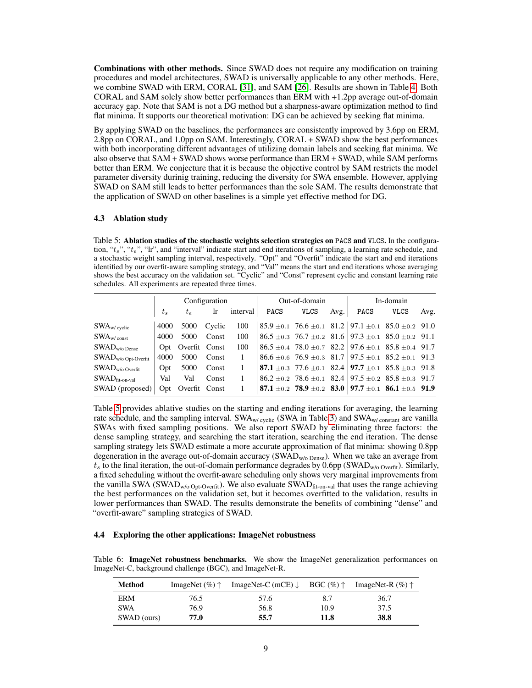Combinations with other methods. Since SWAD does not require any modification on training procedures and model architectures, SWAD is universally applicable to any other methods. Here, we combine SWAD with ERM, CORAL [\[31\]](#page-11-2), and SAM [\[26\]](#page-11-11). Results are shown in Table [4.](#page-7-1) Both CORAL and SAM solely show better performances than ERM with +1.2pp average out-of-domain accuracy gap. Note that SAM is not a DG method but a sharpness-aware optimization method to find flat minima. It supports our theoretical motivation: DG can be achieved by seeking flat minima.

By applying SWAD on the baselines, the performances are consistently improved by 3.6pp on ERM, 2.8pp on CORAL, and 1.0pp on SAM. Interestingly, CORAL + SWAD show the best performances with both incorporating different advantages of utilizing domain labels and seeking flat minima. We also observe that SAM + SWAD shows worse performance than ERM + SWAD, while SAM performs better than ERM. We conjecture that it is because the objective control by SAM restricts the model parameter diversity durinig training, reducing the diversity for SWA ensemble. However, applying SWAD on SAM still leads to better performances than the sole SAM. The results demonstrate that the application of SWAD on other baselines is a simple yet effective method for DG.

#### <span id="page-8-0"></span>4.3 Ablation study

<span id="page-8-1"></span>Table 5: Ablation studies of the stochastic weights selection strategies on PACS and VLCS. In the configuration, " $t_s$ ", " $t_e$ ", "lr", and "interval" indicate start and end iterations of sampling, a learning rate schedule, and a stochastic weight sampling interval, respectively. "Opt" and "Overfit" indicate the start and end iterations identified by our overfit-aware sampling strategy, and "Val" means the start and end iterations whose averaging shows the best accuracy on the validation set. "Cyclic" and "Const" represent cyclic and constant learning rate schedules. All experiments are repeated three times.

|                                | Configuration |                   |        | Out-of-domain |      |             | In-domain |      |                                                                                     |      |
|--------------------------------|---------------|-------------------|--------|---------------|------|-------------|-----------|------|-------------------------------------------------------------------------------------|------|
|                                | $t_{s}$       | $t_{e}$           | -lr    | interval      | PACS | <b>VLCS</b> | Avg.      | PACS | <b>VLCS</b>                                                                         | Avg. |
| $\text{SWA}_{\text{w/cyclic}}$ | 4000          | 5000              | Cyclic | 100           |      |             |           |      | $85.9 \pm 0.1$ 76.6 $\pm 0.1$ 81.2 97.1 $\pm 0.1$ 85.0 $\pm 0.2$ 91.0               |      |
| $\text{SWA}_{\text{w/const}}$  | 4000          | 5000              | Const  | 100           |      |             |           |      | $86.5 \pm 0.3$ 76.7 $\pm 0.2$ 81.6 97.3 $\pm 0.1$ 85.0 $\pm 0.2$ 91.1               |      |
| $SWADw/o$ Dense                |               | Opt Overfit Const |        | 100           |      |             |           |      | $86.5 \pm 0.4$ 78.0 $\pm 0.7$ 82.2 97.6 $\pm 0.1$ 85.8 $\pm 0.4$ 91.7               |      |
| $SWADw/o$ Opt-Overfit          | 4000          | 5000              | Const  | 1             |      |             |           |      | $86.6 \pm 0.6$ 76.9 $\pm 0.3$ $81.7$ 97.5 $\pm 0.1$ $85.2 \pm 0.1$ 91.3             |      |
| $SWADw/o$ Overfit              | Opt           | 5000              | Const  | $\mathbf{1}$  |      |             |           |      | <b>87.1</b> $\pm$ 0.3 77.6 $\pm$ 0.1 82.4 <b>97.7</b> $\pm$ 0.1 85.8 $\pm$ 0.3 91.8 |      |
| $SWAD$ fit-on-val              | Val           | Val               | Const  | 1             |      |             |           |      | $86.2 \pm 0.2$ 78.6 $\pm 0.1$ 82.4 97.5 $\pm 0.2$ 85.8 $\pm 0.3$ 91.7               |      |
| SWAD (proposed)                | Opt           | Overfit Const     |        |               |      |             |           |      | 87.1 $\pm$ 0.2 78.9 $\pm$ 0.2 83.0 97.7 $\pm$ 0.1 86.1 $\pm$ 0.5 91.9               |      |

Table [5](#page-8-1) provides ablative studies on the starting and ending iterations for averaging, the learning rate schedule, and the sampling interval. SWA<sub>w/ cyclic</sub> (SWA in Table [3\)](#page-7-0) and SWA<sub>w/ constant</sub> are vanilla SWAs with fixed sampling positions. We also report SWAD by eliminating three factors: the dense sampling strategy, and searching the start iteration, searching the end iteration. The dense sampling strategy lets SWAD estimate a more accurate approximation of flat minima: showing 0.8pp degeneration in the average out-of-domain accuracy (SWAD<sub>w/o Dense</sub>). When we take an average from  $t_s$  to the final iteration, the out-of-domain performance degrades by 0.6pp (SWAD<sub>w/o Overfit</sub>). Similarly, a fixed scheduling without the overfit-aware scheduling only shows very marginal improvements from the vanilla SWA (SWAD<sub>W/0</sub> Opt-Overfit). We also evaluate SWAD $_{\text{fit-on-val}}$  that uses the range achieving the best performances on the validation set, but it becomes overfitted to the validation, results in lower performances than SWAD. The results demonstrate the benefits of combining "dense" and "overfit-aware" sampling strategies of SWAD.

#### 4.4 Exploring the other applications: ImageNet robustness

<span id="page-8-2"></span>Table 6: ImageNet robustness benchmarks. We show the ImageNet generalization performances on ImageNet-C, background challenge (BGC), and ImageNet-R.

| Method      | ImageNet $(\%)$ $\uparrow$ | ImageNet-C (mCE) $\downarrow$ BGC (%) $\uparrow$ |      | ImageNet-R $(\%)$ $\uparrow$ |
|-------------|----------------------------|--------------------------------------------------|------|------------------------------|
| ERM         | 76.5                       | 57.6                                             | 8.7  | 36.7                         |
| <b>SWA</b>  | 76.9                       | 56.8                                             | 10.9 | 37.5                         |
| SWAD (ours) | 77.0                       | 55.7                                             | 11.8 | 38.8                         |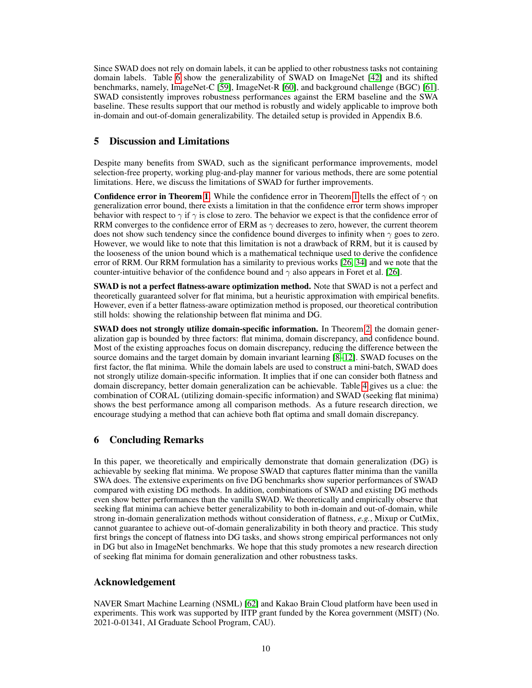Since SWAD does not rely on domain labels, it can be applied to other robustness tasks not containing domain labels. Table [6](#page-8-2) show the generalizability of SWAD on ImageNet [\[42\]](#page-12-7) and its shifted benchmarks, namely, ImageNet-C [\[59\]](#page-13-6), ImageNet-R [\[60\]](#page-13-7), and background challenge (BGC) [\[61\]](#page-13-8). SWAD consistently improves robustness performances against the ERM baseline and the SWA baseline. These results support that our method is robustly and widely applicable to improve both in-domain and out-of-domain generalizability. The detailed setup is provided in Appendix B.6.

# 5 Discussion and Limitations

Despite many benefits from SWAD, such as the significant performance improvements, model selection-free property, working plug-and-play manner for various methods, there are some potential limitations. Here, we discuss the limitations of SWAD for further improvements.

**Confidence error in Theorem [1.](#page-2-1)** While the confidence error in Theorem [1](#page-2-1) tells the effect of  $\gamma$  on generalization error bound, there exists a limitation in that the confidence error term shows improper behavior with respect to  $\gamma$  if  $\gamma$  is close to zero. The behavior we expect is that the confidence error of RRM converges to the confidence error of ERM as  $\gamma$  decreases to zero, however, the current theorem does not show such tendency since the confidence bound diverges to infinity when  $\gamma$  goes to zero. However, we would like to note that this limitation is not a drawback of RRM, but it is caused by the looseness of the union bound which is a mathematical technique used to derive the confidence error of RRM. Our RRM formulation has a similarity to previous works [\[26,](#page-11-11) [34\]](#page-11-14) and we note that the counter-intuitive behavior of the confidence bound and  $\gamma$  also appears in Foret et al. [\[26\]](#page-11-11).

**SWAD** is not a perfect flatness-aware optimization method. Note that SWAD is not a perfect and theoretically guaranteed solver for flat minima, but a heuristic approximation with empirical benefits. However, even if a better flatness-aware optimization method is proposed, our theoretical contribution still holds: showing the relationship between flat minima and DG.

SWAD does not strongly utilize domain-specific information. In Theorem [2,](#page-2-2) the domain generalization gap is bounded by three factors: flat minima, domain discrepancy, and confidence bound. Most of the existing approaches focus on domain discrepancy, reducing the difference between the source domains and the target domain by domain invariant learning [\[8](#page-10-7)[–12\]](#page-10-9). SWAD focuses on the first factor, the flat minima. While the domain labels are used to construct a mini-batch, SWAD does not strongly utilize domain-specific information. It implies that if one can consider both flatness and domain discrepancy, better domain generalization can be achievable. Table [4](#page-7-1) gives us a clue: the combination of CORAL (utilizing domain-specific information) and SWAD (seeking flat minima) shows the best performance among all comparison methods. As a future research direction, we encourage studying a method that can achieve both flat optima and small domain discrepancy.

# 6 Concluding Remarks

In this paper, we theoretically and empirically demonstrate that domain generalization (DG) is achievable by seeking flat minima. We propose SWAD that captures flatter minima than the vanilla SWA does. The extensive experiments on five DG benchmarks show superior performances of SWAD compared with existing DG methods. In addition, combinations of SWAD and existing DG methods even show better performances than the vanilla SWAD. We theoretically and empirically observe that seeking flat minima can achieve better generalizability to both in-domain and out-of-domain, while strong in-domain generalization methods without consideration of flatness, *e.g.*, Mixup or CutMix, cannot guarantee to achieve out-of-domain generalizability in both theory and practice. This study first brings the concept of flatness into DG tasks, and shows strong empirical performances not only in DG but also in ImageNet benchmarks. We hope that this study promotes a new research direction of seeking flat minima for domain generalization and other robustness tasks.

# Acknowledgement

NAVER Smart Machine Learning (NSML) [\[62\]](#page-13-9) and Kakao Brain Cloud platform have been used in experiments. This work was supported by IITP grant funded by the Korea government (MSIT) (No. 2021-0-01341, AI Graduate School Program, CAU).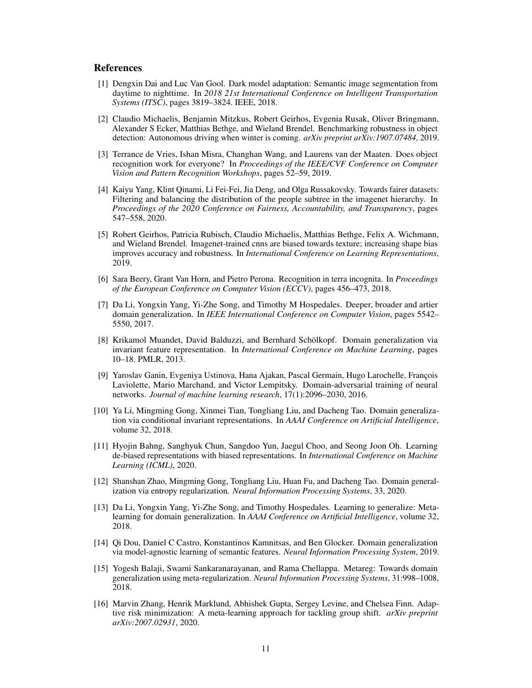### References

- <span id="page-10-0"></span>[1] Dengxin Dai and Luc Van Gool. Dark model adaptation: Semantic image segmentation from daytime to nighttime. In *2018 21st International Conference on Intelligent Transportation Systems (ITSC)*, pages 3819–3824. IEEE, 2018.
- <span id="page-10-1"></span>[2] Claudio Michaelis, Benjamin Mitzkus, Robert Geirhos, Evgenia Rusak, Oliver Bringmann, Alexander S Ecker, Matthias Bethge, and Wieland Brendel. Benchmarking robustness in object detection: Autonomous driving when winter is coming. *arXiv preprint arXiv:1907.07484*, 2019.
- <span id="page-10-2"></span>[3] Terrance de Vries, Ishan Misra, Changhan Wang, and Laurens van der Maaten. Does object recognition work for everyone? In *Proceedings of the IEEE/CVF Conference on Computer Vision and Pattern Recognition Workshops*, pages 52–59, 2019.
- <span id="page-10-3"></span>[4] Kaiyu Yang, Klint Qinami, Li Fei-Fei, Jia Deng, and Olga Russakovsky. Towards fairer datasets: Filtering and balancing the distribution of the people subtree in the imagenet hierarchy. In *Proceedings of the 2020 Conference on Fairness, Accountability, and Transparency*, pages 547–558, 2020.
- <span id="page-10-4"></span>[5] Robert Geirhos, Patricia Rubisch, Claudio Michaelis, Matthias Bethge, Felix A. Wichmann, and Wieland Brendel. Imagenet-trained cnns are biased towards texture; increasing shape bias improves accuracy and robustness. In *International Conference on Learning Representations*, 2019.
- <span id="page-10-5"></span>[6] Sara Beery, Grant Van Horn, and Pietro Perona. Recognition in terra incognita. In *Proceedings of the European Conference on Computer Vision (ECCV)*, pages 456–473, 2018.
- <span id="page-10-6"></span>[7] Da Li, Yongxin Yang, Yi-Zhe Song, and Timothy M Hospedales. Deeper, broader and artier domain generalization. In *IEEE International Conference on Computer Vision*, pages 5542– 5550, 2017.
- <span id="page-10-7"></span>[8] Krikamol Muandet, David Balduzzi, and Bernhard Schölkopf. Domain generalization via invariant feature representation. In *International Conference on Machine Learning*, pages 10–18. PMLR, 2013.
- <span id="page-10-13"></span>[9] Yaroslav Ganin, Evgeniya Ustinova, Hana Ajakan, Pascal Germain, Hugo Larochelle, François Laviolette, Mario Marchand, and Victor Lempitsky. Domain-adversarial training of neural networks. *Journal of machine learning research*, 17(1):2096–2030, 2016.
- <span id="page-10-14"></span>[10] Ya Li, Mingming Gong, Xinmei Tian, Tongliang Liu, and Dacheng Tao. Domain generalization via conditional invariant representations. In *AAAI Conference on Artificial Intelligence*, volume 32, 2018.
- [11] Hyojin Bahng, Sanghyuk Chun, Sangdoo Yun, Jaegul Choo, and Seong Joon Oh. Learning de-biased representations with biased representations. In *International Conference on Machine Learning (ICML)*, 2020.
- <span id="page-10-9"></span>[12] Shanshan Zhao, Mingming Gong, Tongliang Liu, Huan Fu, and Dacheng Tao. Domain generalization via entropy regularization. *Neural Information Processing Systems*, 33, 2020.
- <span id="page-10-10"></span>[13] Da Li, Yongxin Yang, Yi-Zhe Song, and Timothy Hospedales. Learning to generalize: Metalearning for domain generalization. In *AAAI Conference on Artificial Intelligence*, volume 32, 2018.
- <span id="page-10-12"></span>[14] Qi Dou, Daniel C Castro, Konstantinos Kamnitsas, and Ben Glocker. Domain generalization via model-agnostic learning of semantic features. *Neural Information Processing System*, 2019.
- <span id="page-10-8"></span>[15] Yogesh Balaji, Swami Sankaranarayanan, and Rama Chellappa. Metareg: Towards domain generalization using meta-regularization. *Neural Information Processing Systems*, 31:998–1008, 2018.
- <span id="page-10-11"></span>[16] Marvin Zhang, Henrik Marklund, Abhishek Gupta, Sergey Levine, and Chelsea Finn. Adaptive risk minimization: A meta-learning approach for tackling group shift. *arXiv preprint arXiv:2007.02931*, 2020.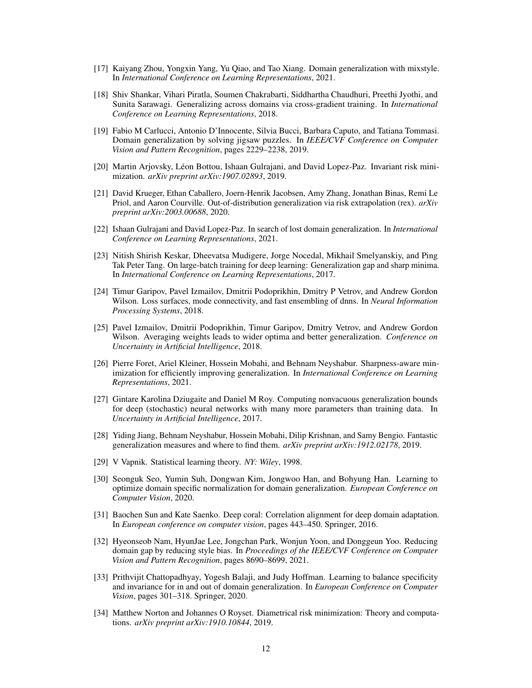- <span id="page-11-5"></span>[17] Kaiyang Zhou, Yongxin Yang, Yu Qiao, and Tao Xiang. Domain generalization with mixstyle. In *International Conference on Learning Representations*, 2021.
- [18] Shiv Shankar, Vihari Piratla, Soumen Chakrabarti, Siddhartha Chaudhuri, Preethi Jyothi, and Sunita Sarawagi. Generalizing across domains via cross-gradient training. In *International Conference on Learning Representations*, 2018.
- <span id="page-11-6"></span>[19] Fabio M Carlucci, Antonio D'Innocente, Silvia Bucci, Barbara Caputo, and Tatiana Tommasi. Domain generalization by solving jigsaw puzzles. In *IEEE/CVF Conference on Computer Vision and Pattern Recognition*, pages 2229–2238, 2019.
- <span id="page-11-7"></span>[20] Martin Arjovsky, Léon Bottou, Ishaan Gulrajani, and David Lopez-Paz. Invariant risk minimization. *arXiv preprint arXiv:1907.02893*, 2019.
- <span id="page-11-8"></span>[21] David Krueger, Ethan Caballero, Joern-Henrik Jacobsen, Amy Zhang, Jonathan Binas, Remi Le Priol, and Aaron Courville. Out-of-distribution generalization via risk extrapolation (rex). *arXiv preprint arXiv:2003.00688*, 2020.
- <span id="page-11-9"></span>[22] Ishaan Gulrajani and David Lopez-Paz. In search of lost domain generalization. In *International Conference on Learning Representations*, 2021.
- <span id="page-11-10"></span>[23] Nitish Shirish Keskar, Dheevatsa Mudigere, Jorge Nocedal, Mikhail Smelyanskiy, and Ping Tak Peter Tang. On large-batch training for deep learning: Generalization gap and sharp minima. In *International Conference on Learning Representations*, 2017.
- <span id="page-11-15"></span>[24] Timur Garipov, Pavel Izmailov, Dmitrii Podoprikhin, Dmitry P Vetrov, and Andrew Gordon Wilson. Loss surfaces, mode connectivity, and fast ensembling of dnns. In *Neural Information Processing Systems*, 2018.
- <span id="page-11-13"></span>[25] Pavel Izmailov, Dmitrii Podoprikhin, Timur Garipov, Dmitry Vetrov, and Andrew Gordon Wilson. Averaging weights leads to wider optima and better generalization. *Conference on Uncertainty in Artificial Intelligence*, 2018.
- <span id="page-11-11"></span>[26] Pierre Foret, Ariel Kleiner, Hossein Mobahi, and Behnam Neyshabur. Sharpness-aware minimization for efficiently improving generalization. In *International Conference on Learning Representations*, 2021.
- [27] Gintare Karolina Dziugaite and Daniel M Roy. Computing nonvacuous generalization bounds for deep (stochastic) neural networks with many more parameters than training data. In *Uncertainty in Artificial Intelligence*, 2017.
- <span id="page-11-12"></span>[28] Yiding Jiang, Behnam Neyshabur, Hossein Mobahi, Dilip Krishnan, and Samy Bengio. Fantastic generalization measures and where to find them. *arXiv preprint arXiv:1912.02178*, 2019.
- <span id="page-11-0"></span>[29] V Vapnik. Statistical learning theory. *NY: Wiley*, 1998.
- <span id="page-11-1"></span>[30] Seonguk Seo, Yumin Suh, Dongwan Kim, Jongwoo Han, and Bohyung Han. Learning to optimize domain specific normalization for domain generalization. *European Conference on Computer Vision*, 2020.
- <span id="page-11-2"></span>[31] Baochen Sun and Kate Saenko. Deep coral: Correlation alignment for deep domain adaptation. In *European conference on computer vision*, pages 443–450. Springer, 2016.
- <span id="page-11-3"></span>[32] Hyeonseob Nam, HyunJae Lee, Jongchan Park, Wonjun Yoon, and Donggeun Yoo. Reducing domain gap by reducing style bias. In *Proceedings of the IEEE/CVF Conference on Computer Vision and Pattern Recognition*, pages 8690–8699, 2021.
- <span id="page-11-4"></span>[33] Prithvijit Chattopadhyay, Yogesh Balaji, and Judy Hoffman. Learning to balance specificity and invariance for in and out of domain generalization. In *European Conference on Computer Vision*, pages 301–318. Springer, 2020.
- <span id="page-11-14"></span>[34] Matthew Norton and Johannes O Royset. Diametrical risk minimization: Theory and computations. *arXiv preprint arXiv:1910.10844*, 2019.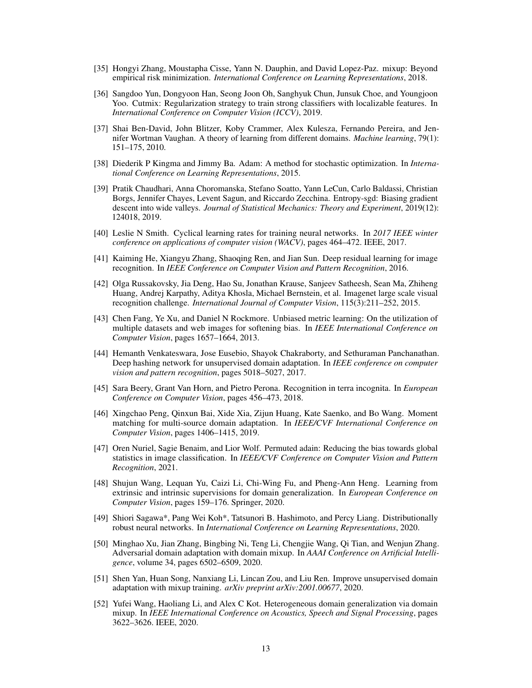- <span id="page-12-0"></span>[35] Hongyi Zhang, Moustapha Cisse, Yann N. Dauphin, and David Lopez-Paz. mixup: Beyond empirical risk minimization. *International Conference on Learning Representations*, 2018.
- <span id="page-12-1"></span>[36] Sangdoo Yun, Dongyoon Han, Seong Joon Oh, Sanghyuk Chun, Junsuk Choe, and Youngjoon Yoo. Cutmix: Regularization strategy to train strong classifiers with localizable features. In *International Conference on Computer Vision (ICCV)*, 2019.
- <span id="page-12-2"></span>[37] Shai Ben-David, John Blitzer, Koby Crammer, Alex Kulesza, Fernando Pereira, and Jennifer Wortman Vaughan. A theory of learning from different domains. *Machine learning*, 79(1): 151–175, 2010.
- <span id="page-12-3"></span>[38] Diederik P Kingma and Jimmy Ba. Adam: A method for stochastic optimization. In *International Conference on Learning Representations*, 2015.
- <span id="page-12-4"></span>[39] Pratik Chaudhari, Anna Choromanska, Stefano Soatto, Yann LeCun, Carlo Baldassi, Christian Borgs, Jennifer Chayes, Levent Sagun, and Riccardo Zecchina. Entropy-sgd: Biasing gradient descent into wide valleys. *Journal of Statistical Mechanics: Theory and Experiment*, 2019(12): 124018, 2019.
- <span id="page-12-5"></span>[40] Leslie N Smith. Cyclical learning rates for training neural networks. In *2017 IEEE winter conference on applications of computer vision (WACV)*, pages 464–472. IEEE, 2017.
- <span id="page-12-6"></span>[41] Kaiming He, Xiangyu Zhang, Shaoqing Ren, and Jian Sun. Deep residual learning for image recognition. In *IEEE Conference on Computer Vision and Pattern Recognition*, 2016.
- <span id="page-12-7"></span>[42] Olga Russakovsky, Jia Deng, Hao Su, Jonathan Krause, Sanjeev Satheesh, Sean Ma, Zhiheng Huang, Andrej Karpathy, Aditya Khosla, Michael Bernstein, et al. Imagenet large scale visual recognition challenge. *International Journal of Computer Vision*, 115(3):211–252, 2015.
- <span id="page-12-13"></span>[43] Chen Fang, Ye Xu, and Daniel N Rockmore. Unbiased metric learning: On the utilization of multiple datasets and web images for softening bias. In *IEEE International Conference on Computer Vision*, pages 1657–1664, 2013.
- <span id="page-12-14"></span>[44] Hemanth Venkateswara, Jose Eusebio, Shayok Chakraborty, and Sethuraman Panchanathan. Deep hashing network for unsupervised domain adaptation. In *IEEE conference on computer vision and pattern recognition*, pages 5018–5027, 2017.
- <span id="page-12-15"></span>[45] Sara Beery, Grant Van Horn, and Pietro Perona. Recognition in terra incognita. In *European Conference on Computer Vision*, pages 456–473, 2018.
- <span id="page-12-16"></span>[46] Xingchao Peng, Qinxun Bai, Xide Xia, Zijun Huang, Kate Saenko, and Bo Wang. Moment matching for multi-source domain adaptation. In *IEEE/CVF International Conference on Computer Vision*, pages 1406–1415, 2019.
- <span id="page-12-8"></span>[47] Oren Nuriel, Sagie Benaim, and Lior Wolf. Permuted adain: Reducing the bias towards global statistics in image classification. In *IEEE/CVF Conference on Computer Vision and Pattern Recognition*, 2021.
- <span id="page-12-9"></span>[48] Shujun Wang, Lequan Yu, Caizi Li, Chi-Wing Fu, and Pheng-Ann Heng. Learning from extrinsic and intrinsic supervisions for domain generalization. In *European Conference on Computer Vision*, pages 159–176. Springer, 2020.
- <span id="page-12-10"></span>[49] Shiori Sagawa\*, Pang Wei Koh\*, Tatsunori B. Hashimoto, and Percy Liang. Distributionally robust neural networks. In *International Conference on Learning Representations*, 2020.
- <span id="page-12-11"></span>[50] Minghao Xu, Jian Zhang, Bingbing Ni, Teng Li, Chengjie Wang, Qi Tian, and Wenjun Zhang. Adversarial domain adaptation with domain mixup. In *AAAI Conference on Artificial Intelligence*, volume 34, pages 6502–6509, 2020.
- [51] Shen Yan, Huan Song, Nanxiang Li, Lincan Zou, and Liu Ren. Improve unsupervised domain adaptation with mixup training. *arXiv preprint arXiv:2001.00677*, 2020.
- <span id="page-12-12"></span>[52] Yufei Wang, Haoliang Li, and Alex C Kot. Heterogeneous domain generalization via domain mixup. In *IEEE International Conference on Acoustics, Speech and Signal Processing*, pages 3622–3626. IEEE, 2020.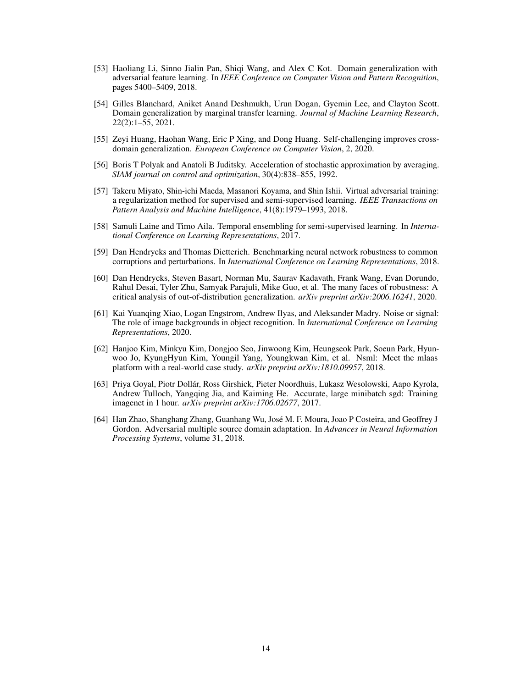- <span id="page-13-0"></span>[53] Haoliang Li, Sinno Jialin Pan, Shiqi Wang, and Alex C Kot. Domain generalization with adversarial feature learning. In *IEEE Conference on Computer Vision and Pattern Recognition*, pages 5400–5409, 2018.
- <span id="page-13-1"></span>[54] Gilles Blanchard, Aniket Anand Deshmukh, Urun Dogan, Gyemin Lee, and Clayton Scott. Domain generalization by marginal transfer learning. *Journal of Machine Learning Research*, 22(2):1–55, 2021.
- <span id="page-13-2"></span>[55] Zeyi Huang, Haohan Wang, Eric P Xing, and Dong Huang. Self-challenging improves crossdomain generalization. *European Conference on Computer Vision*, 2, 2020.
- <span id="page-13-3"></span>[56] Boris T Polyak and Anatoli B Juditsky. Acceleration of stochastic approximation by averaging. *SIAM journal on control and optimization*, 30(4):838–855, 1992.
- <span id="page-13-4"></span>[57] Takeru Miyato, Shin-ichi Maeda, Masanori Koyama, and Shin Ishii. Virtual adversarial training: a regularization method for supervised and semi-supervised learning. *IEEE Transactions on Pattern Analysis and Machine Intelligence*, 41(8):1979–1993, 2018.
- <span id="page-13-5"></span>[58] Samuli Laine and Timo Aila. Temporal ensembling for semi-supervised learning. In *International Conference on Learning Representations*, 2017.
- <span id="page-13-6"></span>[59] Dan Hendrycks and Thomas Dietterich. Benchmarking neural network robustness to common corruptions and perturbations. In *International Conference on Learning Representations*, 2018.
- <span id="page-13-7"></span>[60] Dan Hendrycks, Steven Basart, Norman Mu, Saurav Kadavath, Frank Wang, Evan Dorundo, Rahul Desai, Tyler Zhu, Samyak Parajuli, Mike Guo, et al. The many faces of robustness: A critical analysis of out-of-distribution generalization. *arXiv preprint arXiv:2006.16241*, 2020.
- <span id="page-13-8"></span>[61] Kai Yuanqing Xiao, Logan Engstrom, Andrew Ilyas, and Aleksander Madry. Noise or signal: The role of image backgrounds in object recognition. In *International Conference on Learning Representations*, 2020.
- <span id="page-13-9"></span>[62] Hanjoo Kim, Minkyu Kim, Dongjoo Seo, Jinwoong Kim, Heungseok Park, Soeun Park, Hyunwoo Jo, KyungHyun Kim, Youngil Yang, Youngkwan Kim, et al. Nsml: Meet the mlaas platform with a real-world case study. *arXiv preprint arXiv:1810.09957*, 2018.
- <span id="page-13-10"></span>[63] Priya Goyal, Piotr Dollár, Ross Girshick, Pieter Noordhuis, Lukasz Wesolowski, Aapo Kyrola, Andrew Tulloch, Yangqing Jia, and Kaiming He. Accurate, large minibatch sgd: Training imagenet in 1 hour. *arXiv preprint arXiv:1706.02677*, 2017.
- <span id="page-13-11"></span>[64] Han Zhao, Shanghang Zhang, Guanhang Wu, José M. F. Moura, Joao P Costeira, and Geoffrey J Gordon. Adversarial multiple source domain adaptation. In *Advances in Neural Information Processing Systems*, volume 31, 2018.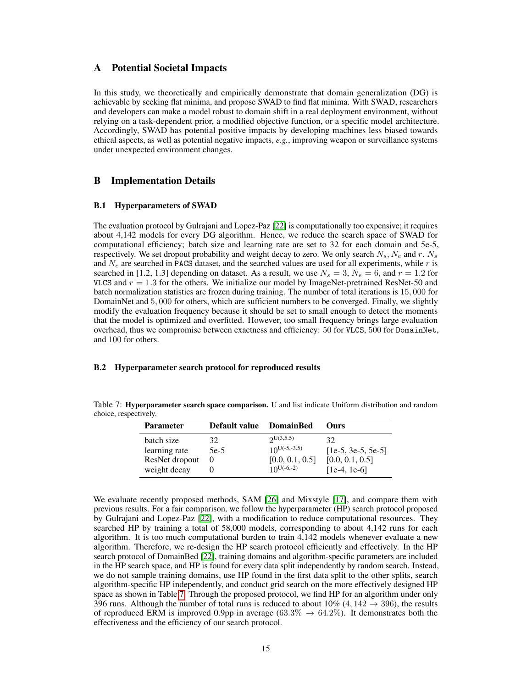# A Potential Societal Impacts

In this study, we theoretically and empirically demonstrate that domain generalization (DG) is achievable by seeking flat minima, and propose SWAD to find flat minima. With SWAD, researchers and developers can make a model robust to domain shift in a real deployment environment, without relying on a task-dependent prior, a modified objective function, or a specific model architecture. Accordingly, SWAD has potential positive impacts by developing machines less biased towards ethical aspects, as well as potential negative impacts, *e.g.*, improving weapon or surveillance systems under unexpected environment changes.

# B Implementation Details

#### B.1 Hyperparameters of SWAD

The evaluation protocol by Gulrajani and Lopez-Paz [\[22\]](#page-11-9) is computationally too expensive; it requires about 4,142 models for every DG algorithm. Hence, we reduce the search space of SWAD for computational efficiency; batch size and learning rate are set to 32 for each domain and 5e-5, respectively. We set dropout probability and weight decay to zero. We only search  $N_s$ ,  $N_e$  and r.  $N_s$ and  $N_e$  are searched in PACS dataset, and the searched values are used for all experiments, while r is searched in [1.2, 1.3] depending on dataset. As a result, we use  $N_s = 3$ ,  $N_e = 6$ , and  $r = 1.2$  for VLCS and  $r = 1.3$  for the others. We initialize our model by ImageNet-pretrained ResNet-50 and batch normalization statistics are frozen during training. The number of total iterations is 15, 000 for DomainNet and 5, 000 for others, which are sufficient numbers to be converged. Finally, we slightly modify the evaluation frequency because it should be set to small enough to detect the moments that the model is optimized and overfitted. However, too small frequency brings large evaluation overhead, thus we compromise between exactness and efficiency: 50 for VLCS, 500 for DomainNet, and 100 for others.

#### B.2 Hyperparameter search protocol for reproduced results

<span id="page-14-0"></span>

| Table 7: Hyperparameter search space comparison. U and list indicate Uniform distribution and random |  |  |
|------------------------------------------------------------------------------------------------------|--|--|
| choice, respectively.                                                                                |  |  |

| <b>Parameter</b> | Default value | <b>DomainBed</b>  | Ours                 |
|------------------|---------------|-------------------|----------------------|
| batch size       | 32            | 2U(3,5.5)         | 32                   |
| learning rate    | $5e-5$        | $10^{U(-5,-3.5)}$ | $[1e-5, 3e-5, 5e-5]$ |
| ResNet dropout   |               | [0.0, 0.1, 0.5]   | [0.0, 0.1, 0.5]      |
| weight decay     |               | $10^{U(-6,-2)}$   | $[1e-4, 1e-6]$       |

We evaluate recently proposed methods, SAM [\[26\]](#page-11-11) and Mixstyle [\[17\]](#page-11-5), and compare them with previous results. For a fair comparison, we follow the hyperparameter (HP) search protocol proposed by Gulrajani and Lopez-Paz [\[22\]](#page-11-9), with a modification to reduce computational resources. They searched HP by training a total of 58,000 models, corresponding to about 4,142 runs for each algorithm. It is too much computational burden to train 4,142 models whenever evaluate a new algorithm. Therefore, we re-design the HP search protocol efficiently and effectively. In the HP search protocol of DomainBed [\[22\]](#page-11-9), training domains and algorithm-specific parameters are included in the HP search space, and HP is found for every data split independently by random search. Instead, we do not sample training domains, use HP found in the first data split to the other splits, search algorithm-specific HP independently, and conduct grid search on the more effectively designed HP space as shown in Table [7.](#page-14-0) Through the proposed protocol, we find HP for an algorithm under only 396 runs. Although the number of total runs is reduced to about  $10\%$  (4,  $142 \rightarrow 396$ ), the results of reproduced ERM is improved 0.9pp in average  $(63.3\% \rightarrow 64.2\%)$ . It demonstrates both the effectiveness and the efficiency of our search protocol.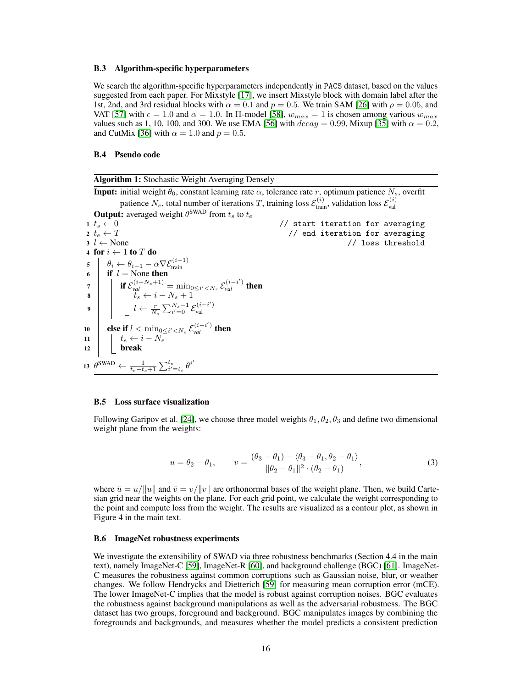#### B.3 Algorithm-specific hyperparameters

We search the algorithm-specific hyperparameters independently in PACS dataset, based on the values suggested from each paper. For Mixstyle [\[17\]](#page-11-5), we insert Mixstyle block with domain label after the 1st, 2nd, and 3rd residual blocks with  $\alpha = 0.1$  and  $p = 0.5$ . We train SAM [\[26\]](#page-11-11) with  $\rho = 0.05$ , and VAT [\[57\]](#page-13-4) with  $\epsilon = 1.0$  and  $\alpha = 1.0$ . In II-model [\[58\]](#page-13-5),  $w_{max} = 1$  is chosen among various  $w_{max}$ values such as 1, 10, 100, and 300. We use EMA [\[56\]](#page-13-3) with  $decay = 0.99$ , Mixup [\[35\]](#page-12-0) with  $\alpha = 0.2$ , and CutMix [\[36\]](#page-12-1) with  $\alpha = 1.0$  and  $p = 0.5$ .

### B.4 Pseudo code

Algorithm 1: Stochastic Weight Averaging Densely **Input:** initial weight  $\theta_0$ , constant learning rate  $\alpha$ , tolerance rate r, optimum patience  $N_s$ , overfit patience  $N_e$ , total number of iterations T, training loss  $\mathcal{E}_{\text{train}}^{(i)}$ , validation loss  $\mathcal{E}_{\text{val}}^{(i)}$ **Output:** averaged weight  $\theta^{\text{SWAD}}$  from  $t_s$  to  $t_e$ 1  $t_s \leftarrow 0$ <br>
2  $t_e \leftarrow T$  // start iteration for averaging<br>
1  $t_s \leftarrow 0$ <br>
1  $t_s \leftarrow 0$ 2  $t_e \leftarrow T$ <br>
2  $t_e \leftarrow T$ <br>
2  $\leftarrow$  None<br>
2  $\leftarrow$  None<br>
2  $\leftarrow$  None<br>
2  $\leftarrow$  None<br>
2  $\leftarrow$  None // loss threshold 4 for  $i \leftarrow 1$  to T do 5  $\begin{array}{c} \n\mathbf{5} \n\end{array}$   $\begin{array}{c} \n\mathbf{6} \n\end{array} \begin{array}{c} \n\mathbf{7} \cdot \mathbf{7} \cdot \mathbf{8} \cdot \mathbf{7} \cdot \mathbf{8} \cdot \mathbf{7} \cdot \mathbf{8} \cdot \mathbf{8} \cdot \mathbf{8} \cdot \mathbf{8} \cdot \mathbf{8} \cdot \mathbf{9} \cdot \mathbf{1} \cdot \mathbf{1} \n\end{array}$ *7* **if**  $\mathcal{E}_{val}^{(i-N_s+1)} = \min_{0 \leq i' < N_s} \mathcal{E}_{val}^{(i-i')}$  then 8 |  $\begin{array}{|c|c|c|c|c|} \hline \end{array}$  ts  $\leftarrow i - N_s + 1$  $\mathbf{9} \quad \Big\vert \qquad \Big\vert \qquad \Big\vert \qquad \Big\vert \qquad \frac{r}{N_s} \sum_{i'=0}^{N_s-1} \mathcal{E}_{\text{val}}^{(i-i')}$ val 10 **else if**  $l < \min_{0 \leq i' < N_e} \mathcal{E}_{val}^{(i-i')}$  then 11  $\vert \quad \vert \quad t_e \leftarrow i - N_e$ 12 **break** 13  $\theta^{\text{SWAD}} \leftarrow \frac{1}{t_e - t_s + 1} \sum_{i'=t_s}^{t_e} \theta^{i'}$ 

#### B.5 Loss surface visualization

Following Garipov et al. [\[24\]](#page-11-15), we choose three model weights  $\theta_1, \theta_2, \theta_3$  and define two dimensional weight plane from the weights:

$$
u = \theta_2 - \theta_1, \qquad v = \frac{(\theta_3 - \theta_1) - \langle \theta_3 - \theta_1, \theta_2 - \theta_1 \rangle}{\|\theta_2 - \theta_1\|^2 \cdot (\theta_2 - \theta_1)},\tag{3}
$$

where  $\hat{u} = u/||u||$  and  $\hat{v} = v/||v||$  are orthonormal bases of the weight plane. Then, we build Cartesian grid near the weights on the plane. For each grid point, we calculate the weight corresponding to the point and compute loss from the weight. The results are visualized as a contour plot, as shown in Figure 4 in the main text.

#### B.6 ImageNet robustness experiments

We investigate the extensibility of SWAD via three robustness benchmarks (Section 4.4 in the main text), namely ImageNet-C [\[59\]](#page-13-6), ImageNet-R [\[60\]](#page-13-7), and background challenge (BGC) [\[61\]](#page-13-8). ImageNet-C measures the robustness against common corruptions such as Gaussian noise, blur, or weather changes. We follow Hendrycks and Dietterich [\[59\]](#page-13-6) for measuring mean corruption error (mCE). The lower ImageNet-C implies that the model is robust against corruption noises. BGC evaluates the robustness against background manipulations as well as the adversarial robustness. The BGC dataset has two groups, foreground and background. BGC manipulates images by combining the foregrounds and backgrounds, and measures whether the model predicts a consistent prediction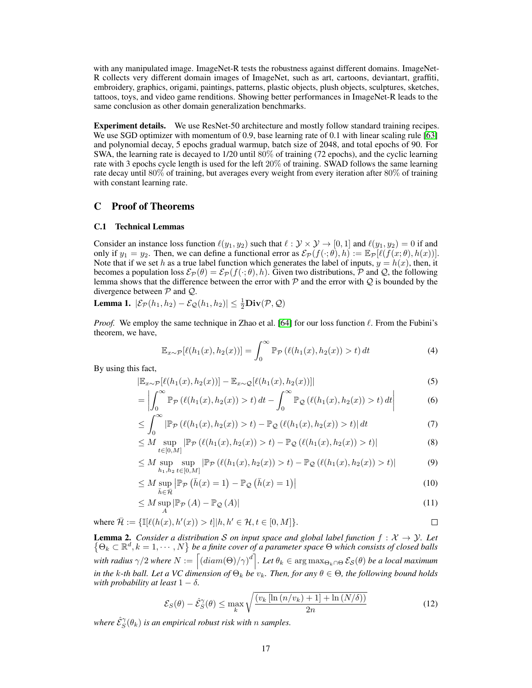with any manipulated image. ImageNet-R tests the robustness against different domains. ImageNet-R collects very different domain images of ImageNet, such as art, cartoons, deviantart, graffiti, embroidery, graphics, origami, paintings, patterns, plastic objects, plush objects, sculptures, sketches, tattoos, toys, and video game renditions. Showing better performances in ImageNet-R leads to the same conclusion as other domain generalization benchmarks.

Experiment details. We use ResNet-50 architecture and mostly follow standard training recipes. We use SGD optimizer with momentum of 0.9, base learning rate of 0.1 with linear scaling rule [\[63\]](#page-13-10) and polynomial decay, 5 epochs gradual warmup, batch size of 2048, and total epochs of 90. For SWA, the learning rate is decayed to 1/20 until 80% of training (72 epochs), and the cyclic learning rate with 3 epochs cycle length is used for the left 20% of training. SWAD follows the same learning rate decay until 80% of training, but averages every weight from every iteration after 80% of training with constant learning rate.

### C Proof of Theorems

#### C.1 Technical Lemmas

Consider an instance loss function  $\ell(y_1, y_2)$  such that  $\ell : \mathcal{Y} \times \mathcal{Y} \to [0, 1]$  and  $\ell(y_1, y_2) = 0$  if and only if  $y_1 = y_2$ . Then, we can define a functional error as  $\mathcal{E}_{\mathcal{P}}(f(\cdot;\theta),h) := \mathbb{E}_{\mathcal{P}}[\ell(f(x;\theta),h(x))].$ Note that if we set h as a true label function which generates the label of inputs,  $y = h(x)$ , then, it becomes a population loss  $\mathcal{E}_{\mathcal{P}}(\theta) = \mathcal{E}_{\mathcal{P}}(f(\cdot;\theta), h)$ . Given two distributions,  $\mathcal{P}$  and  $\mathcal{Q}$ , the following lemma shows that the difference between the error with  $P$  and the error with  $Q$  is bounded by the divergence between  $P$  and  $Q$ .

<span id="page-16-0"></span>**Lemma 1.**  $|\mathcal{E}_{\mathcal{P}}(h_1, h_2) - \mathcal{E}_{\mathcal{Q}}(h_1, h_2)| \leq \frac{1}{2} \mathbf{Div}(\mathcal{P}, \mathcal{Q})$ 

*Proof.* We employ the same technique in Zhao et al. [\[64\]](#page-13-11) for our loss function  $\ell$ . From the Fubini's theorem, we have,

$$
\mathbb{E}_{x \sim \mathcal{P}}[\ell(h_1(x), h_2(x))] = \int_0^\infty \mathbb{P}_{\mathcal{P}}(\ell(h_1(x), h_2(x)) > t) dt \tag{4}
$$

By using this fact,

$$
|\mathbb{E}_{x \sim \mathcal{P}}[\ell(h_1(x), h_2(x))] - \mathbb{E}_{x \sim \mathcal{Q}}[\ell(h_1(x), h_2(x))]| \tag{5}
$$

$$
= \left| \int_0^\infty \mathbb{P}_{\mathcal{P}} \left( \ell(h_1(x), h_2(x)) > t \right) dt - \int_0^\infty \mathbb{P}_{\mathcal{Q}} \left( \ell(h_1(x), h_2(x)) > t \right) dt \right| \tag{6}
$$

$$
\leq \int_0^\infty \left| \mathbb{P}_{\mathcal{P}} \left( \ell(h_1(x), h_2(x)) > t \right) - \mathbb{P}_{\mathcal{Q}} \left( \ell(h_1(x), h_2(x)) > t \right) \right| dt \tag{7}
$$

$$
\leq M \sup_{t \in [0,M]} |\mathbb{P}_{\mathcal{P}}\left(\ell(h_1(x), h_2(x)) > t\right) - \mathbb{P}_{\mathcal{Q}}\left(\ell(h_1(x), h_2(x)) > t\right)| \tag{8}
$$

$$
\leq M \sup_{h_1, h_2} \sup_{t \in [0, M]} |\mathbb{P}_{\mathcal{P}}\left(\ell(h_1(x), h_2(x)) > t\right) - \mathbb{P}_{\mathcal{Q}}\left(\ell(h_1(x), h_2(x)) > t\right)| \tag{9}
$$

$$
\leq M \sup_{\bar{h}\in\bar{\mathcal{H}}} \left| \mathbb{P}_{\mathcal{P}}\left(\bar{h}(x)=1\right) - \mathbb{P}_{\mathcal{Q}}\left(\bar{h}(x)=1\right) \right| \tag{10}
$$

$$
\leq M \sup_{A} |\mathbb{P}_{\mathcal{P}}(A) - \mathbb{P}_{\mathcal{Q}}(A)| \tag{11}
$$

where 
$$
\overline{\mathcal{H}} := \{\mathbb{I}[\ell(h(x), h'(x)) > t] | h, h' \in \mathcal{H}, t \in [0, M] \}.
$$

<span id="page-16-1"></span>**Lemma 2.** Consider a distribution S on input space and global label function  $f: \mathcal{X} \to \mathcal{Y}$ . Let  $\{\Theta_k \subset \mathbb{R}^d, k = 1, \cdots, N\}$  be a finite cover of a parameter space  $\Theta$  which consists of closed balls with radius  $\gamma/2$  where  $N:=\left[(diam(\Theta)/\gamma)^d\right]$ . Let  $\theta_k\in\argmax_{\Theta_k\cap\Theta}\mathcal{E}_{\mathcal{S}}(\theta)$  be a local maximum *in the k-th ball. Let a VC dimension of*  $\Theta_k$  *be*  $v_k$ *. Then, for any*  $\theta \in \Theta$ *, the following bound holds with probability at least*  $1 - \delta$ *.* 

$$
\mathcal{E}_S(\theta) - \hat{\mathcal{E}}_S^{\gamma}(\theta) \le \max_k \sqrt{\frac{(v_k \left[ \ln \left( n/v_k \right) + 1 \right] + \ln \left( N/\delta \right))}{2n}} \tag{12}
$$

where  $\hat{\mathcal{E}}_{S}^{\gamma}(\theta_{k})$  is an empirical robust risk with  $n$  samples.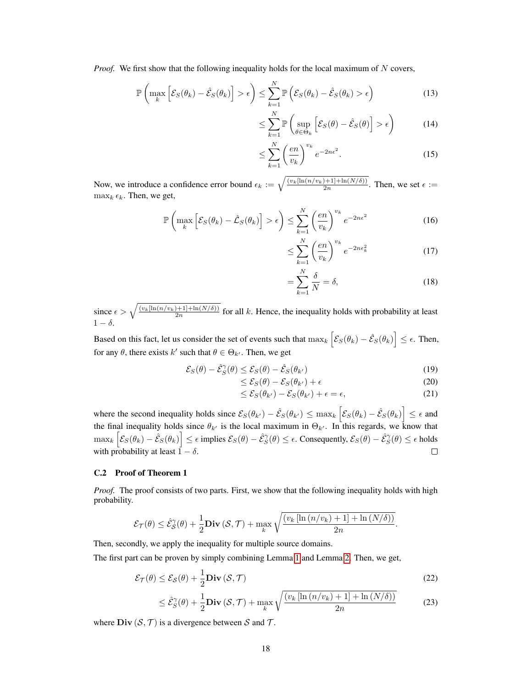*Proof.* We first show that the following inequality holds for the local maximum of N covers,

$$
\mathbb{P}\left(\max_{k}\left[\mathcal{E}_{S}(\theta_{k})-\hat{\mathcal{E}}_{S}(\theta_{k})\right]>\epsilon\right)\leq\sum_{k=1}^{N}\mathbb{P}\left(\mathcal{E}_{S}(\theta_{k})-\hat{\mathcal{E}}_{S}(\theta_{k})>\epsilon\right)
$$
(13)

$$
\leq \sum_{k=1}^{N} \mathbb{P}\left(\sup_{\theta \in \Theta_k} \left[\mathcal{E}_S(\theta) - \hat{\mathcal{E}}_S(\theta)\right] > \epsilon\right) \tag{14}
$$

$$
\leq \sum_{k=1}^{N} \left(\frac{en}{v_k}\right)^{v_k} e^{-2n\epsilon^2}.\tag{15}
$$

Now, we introduce a confidence error bound  $\epsilon_k := \sqrt{\frac{(v_k[\ln(n/v_k)+1]+\ln(N/\delta))}{2n}}$ . Then, we set  $\epsilon :=$  $\max_k \epsilon_k$ . Then, we get,

$$
\mathbb{P}\left(\max_{k}\left[\mathcal{E}_{S}(\theta_{k})-\hat{\mathcal{L}}_{S}(\theta_{k})\right]>\epsilon\right)\leq\sum_{k=1}^{N}\left(\frac{en}{v_{k}}\right)^{v_{k}}e^{-2n\epsilon^{2}}
$$
(16)

$$
\leq \sum_{k=1}^{N} \left(\frac{en}{v_k}\right)^{v_k} e^{-2n\epsilon_k^2} \tag{17}
$$

$$
=\sum_{k=1}^{N}\frac{\delta}{N}=\delta,
$$
\n(18)

since  $\epsilon > \sqrt{\frac{(v_k[\ln(n/v_k)+1]+\ln(N/\delta))}{2n}}$  for all k. Hence, the inequality holds with probability at least  $1 - \delta$ .

Based on this fact, let us consider the set of events such that  $\max_k \left[ \mathcal{E}_S(\theta_k) - \hat{\mathcal{E}}_S(\theta_k) \right] \le \epsilon$ . Then, for any  $\theta$ , there exists k' such that  $\theta \in \Theta_{k'}$ . Then, we get

$$
\mathcal{E}_S(\theta) - \hat{\mathcal{E}}_S^{\gamma}(\theta) \le \mathcal{E}_S(\theta) - \hat{\mathcal{E}}_S(\theta_{k'})
$$
\n(19)

$$
\leq \mathcal{E}_S(\theta) - \mathcal{E}_S(\theta_{k'}) + \epsilon \tag{20}
$$

$$
\leq \mathcal{E}_S(\theta_{k'}) - \mathcal{E}_S(\theta_{k'}) + \epsilon = \epsilon,\tag{21}
$$

where the second inequality holds since  $\mathcal{E}_{S}(\theta_{k'}) - \hat{\mathcal{E}}_{S}(\theta_{k'}) \leq \max_{k} \left[ \mathcal{E}_{S}(\theta_k) - \hat{\mathcal{E}}_{S}(\theta_k) \right] \leq \epsilon$  and the final inequality holds since  $\theta_{k'}$  is the local maximum in  $\Theta_{k'}$ . In this regards, we know that  $\max_k \left[ \mathcal{E}_S(\theta_k) - \hat{\mathcal{E}}_S(\theta_k) \right] \leq \epsilon \text{ implies } \mathcal{E}_S(\theta) - \hat{\mathcal{E}}_S^{\gamma}(\theta) \leq \epsilon.$  Consequently,  $\mathcal{E}_S(\theta) - \hat{\mathcal{E}}_S^{\gamma}(\theta) \leq \epsilon$  holds with probability at least  $\vec{1} - \delta$ .  $\Box$ 

#### C.2 Proof of Theorem 1

*Proof.* The proof consists of two parts. First, we show that the following inequality holds with high probability.

$$
\mathcal{E}_{\mathcal{T}}(\theta) \leq \hat{\mathcal{E}}_{\mathcal{S}}^{\gamma}(\theta) + \frac{1}{2} \textbf{Div}(\mathcal{S}, \mathcal{T}) + \max_{k} \sqrt{\frac{(v_k \left[ \ln{(n/v_k)} + 1 \right] + \ln{(N/\delta))}}{2n}}.
$$

Then, secondly, we apply the inequality for multiple source domains.

The first part can be proven by simply combining Lemma [1](#page-16-0) and Lemma [2.](#page-16-1) Then, we get,

$$
\mathcal{E}_{\mathcal{T}}(\theta) \le \mathcal{E}_{\mathcal{S}}(\theta) + \frac{1}{2} \mathbf{Div}\left(\mathcal{S}, \mathcal{T}\right)
$$
\n(22)

$$
\leq \hat{\mathcal{E}}_S^{\gamma}(\theta) + \frac{1}{2} \mathbf{Div}\left(\mathcal{S}, \mathcal{T}\right) + \max_k \sqrt{\frac{\left(v_k \left[\ln\left(n/v_k\right) + 1\right] + \ln\left(N/\delta\right)\right)}{2n}} \tag{23}
$$

where  $\text{Div}(\mathcal{S}, \mathcal{T})$  is a divergence between S and T.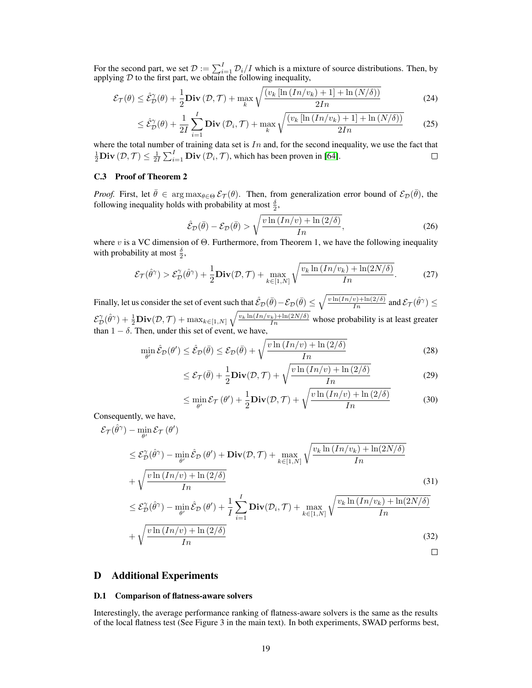For the second part, we set  $\mathcal{D} := \sum_{i=1}^{I} \mathcal{D}_i/I$  which is a mixture of source distributions. Then, by applying  $D$  to the first part, we obtain the following inequality,

$$
\mathcal{E}_{\mathcal{T}}(\theta) \le \hat{\mathcal{E}}_{\mathcal{D}}^{\gamma}(\theta) + \frac{1}{2} \mathbf{Div}\left(\mathcal{D}, \mathcal{T}\right) + \max_{k} \sqrt{\frac{\left(v_k \left[\ln\left(\frac{In}{v_k}\right) + 1\right] + \ln\left(N/\delta\right)\right)}{2In}} \tag{24}
$$

$$
\leq \hat{\mathcal{E}}_{\mathcal{D}}^{\gamma}(\theta) + \frac{1}{2I} \sum_{i=1}^{I} \mathbf{Div}\left(\mathcal{D}_{i}, \mathcal{T}\right) + \max_{k} \sqrt{\frac{\left(v_{k}\left[\ln\left(\frac{I_{n}}{v_{k}}\right) + 1\right] + \ln\left(N/\delta\right)\right)}{2I_{n}}}
$$
(25)

where the total number of training data set is  $In$  and, for the second inequality, we use the fact that  $\frac{1}{2}$ **Div**  $(\mathcal{D}, \mathcal{T}) \leq \frac{1}{2l} \sum_{i=1}^{l}$ **Div**  $(\mathcal{D}_i, \mathcal{T})$ , which has been proven in [\[64\]](#page-13-11).  $\Box$ 

### C.3 Proof of Theorem 2

*Proof.* First, let  $\bar{\theta} \in \arg \max_{\theta \in \Theta} \mathcal{E}_{\mathcal{T}}(\theta)$ . Then, from generalization error bound of  $\mathcal{E}_{\mathcal{D}}(\bar{\theta})$ , the following inequality holds with probability at most  $\frac{\delta}{2}$ ,

$$
\hat{\mathcal{E}}_{\mathcal{D}}(\bar{\theta}) - \mathcal{E}_{\mathcal{D}}(\bar{\theta}) > \sqrt{\frac{v \ln\left(\frac{In}{v}\right) + \ln\left(\frac{2}{\delta}\right)}{In}},\tag{26}
$$

where v is a VC dimension of  $\Theta$ . Furthermore, from Theorem 1, we have the following inequality with probability at most  $\frac{\delta}{2}$ ,

$$
\mathcal{E}_{\mathcal{T}}(\hat{\theta}^{\gamma}) > \mathcal{E}_{\mathcal{D}}^{\gamma}(\hat{\theta}^{\gamma}) + \frac{1}{2} \mathbf{Div}(\mathcal{D}, \mathcal{T}) + \max_{k \in [1, N]} \sqrt{\frac{v_k \ln \left( \frac{In}{v_k}\right) + \ln(2N/\delta)}{In}}.
$$
 (27)

Finally, let us consider the set of event such that  $\hat{\mathcal{E}}_\mathcal{D}(\bar{\theta}) - \mathcal{E}_\mathcal{D}(\bar{\theta}) \leq \sqrt{\frac{v\ln(Im/v) + \ln(2/\delta)}{Im}}$  and  $\mathcal{E}_\mathcal{T}(\hat{\theta}^\gamma) \leq$  $\mathcal{E}_{\mathcal{D}}^{\gamma}(\hat{\theta}^{\gamma}) + \frac{1}{2} \textbf{Div}(\mathcal{D}, \mathcal{T}) + \max_{k \in [1, N]} \sqrt{\frac{v_k \ln (In/v_k) + \ln(2N/\delta)}{In}}$  whose probability is at least greater than  $1 - \delta$ . Then, under this set of event, we have,

$$
\min_{\theta'} \hat{\mathcal{E}}_{\mathcal{D}}(\theta') \le \hat{\mathcal{E}}_{\mathcal{D}}(\bar{\theta}) \le \mathcal{E}_{\mathcal{D}}(\bar{\theta}) + \sqrt{\frac{\nu \ln\left(\frac{I_n}{\nu}\right) + \ln\left(\frac{2}{\delta}\right)}{I_n}}
$$
(28)

$$
\leq \mathcal{E}_{\mathcal{T}}(\bar{\theta}) + \frac{1}{2} \mathbf{Div}(\mathcal{D}, \mathcal{T}) + \sqrt{\frac{v \ln (In/v) + \ln (2/\delta)}{In}}
$$
(29)

$$
\leq \min_{\theta'} \mathcal{E}_{\mathcal{T}}(\theta') + \frac{1}{2} \mathbf{Div}(\mathcal{D}, \mathcal{T}) + \sqrt{\frac{v \ln (In/v) + \ln (2/\delta)}{In}} \tag{30}
$$

Consequently, we have,

$$
\mathcal{E}_{\mathcal{T}}(\hat{\theta}^{\gamma}) - \min_{\theta'} \mathcal{E}_{\mathcal{T}}(\theta')
$$
  
\n
$$
\leq \mathcal{E}_{\mathcal{D}}^{\gamma}(\hat{\theta}^{\gamma}) - \min_{\theta'} \hat{\mathcal{E}}_{\mathcal{D}}(\theta') + \mathbf{Div}(\mathcal{D}, \mathcal{T}) + \max_{k \in [1, N]} \sqrt{\frac{v_k \ln (In/v_k) + \ln(2N/\delta)}{In}}
$$
  
\n
$$
+ \sqrt{\frac{v \ln (In/v) + \ln(2/\delta)}{In}}
$$
\n(31)

$$
\leq \mathcal{E}_{\mathcal{D}}^{\gamma}(\hat{\theta}^{\gamma}) - \min_{\theta'} \hat{\mathcal{E}}_{\mathcal{D}}(\theta') + \frac{1}{I} \sum_{i=1}^{I} \mathbf{Div}(\mathcal{D}_{i}, \mathcal{T}) + \max_{k \in [1, N]} \sqrt{\frac{v_{k} \ln (In/v_{k}) + \ln(2N/\delta)}{In}}
$$

$$
+ \sqrt{\frac{v \ln (In/v) + \ln(2/\delta)}{In}}
$$
(32)

### D Additional Experiments

#### D.1 Comparison of flatness-aware solvers

Interestingly, the average performance ranking of flatness-aware solvers is the same as the results of the local flatness test (See Figure 3 in the main text). In both experiments, SWAD performs best,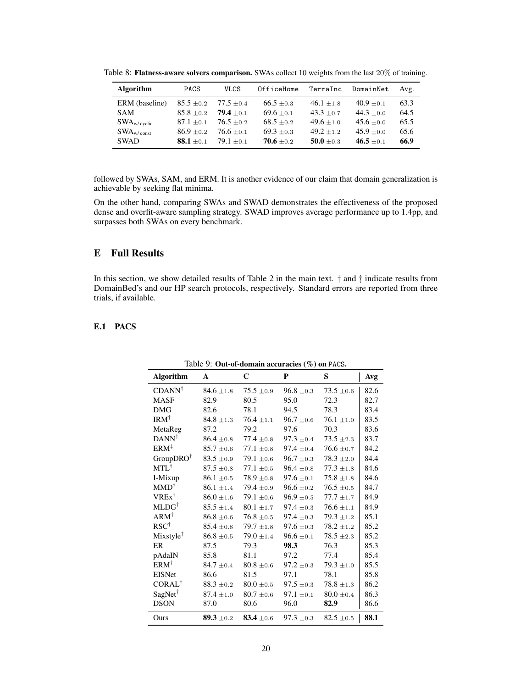| <b>Algorithm</b> | <b>PACS</b>    | <b>VLCS</b>    | OfficeHome     | TerraInc     | DomainNet      | Avg. |
|------------------|----------------|----------------|----------------|--------------|----------------|------|
| ERM (baseline)   | $85.5 \pm 0.2$ | $77.5 \pm 0.4$ | $66.5 \pm 0.3$ | $46.1 + 1.8$ | $40.9 \pm 0.1$ | 63.3 |
| <b>SAM</b>       | $85.8 + 0.2$   | $79.4 + 0.1$   | $69.6 + 0.1$   | $43.3 + 0.7$ | $44.3 + 0.0$   | 64.5 |
| $SWA_{W/cyclic}$ | $87.1 + 0.1$   | $76.5 + 0.2$   | $68.5 + 0.2$   | $49.6 + 1.0$ | $45.6 + 0.0$   | 65.5 |
| $SWA_{w/const}$  | $86.9 + 0.2$   | $76.6 + 0.1$   | $69.3 + 0.3$   | $49.2 + 1.2$ | $45.9 + 0.0$   | 65.6 |
| <b>SWAD</b>      | $88.1 + 0.1$   | $79.1 + 0.1$   | $70.6 + 0.2$   | $50.0 + 0.3$ | $46.5 + 0.1$   | 66.9 |

Table 8: Flatness-aware solvers comparison. SWAs collect 10 weights from the last 20% of training.

followed by SWAs, SAM, and ERM. It is another evidence of our claim that domain generalization is achievable by seeking flat minima.

On the other hand, comparing SWAs and SWAD demonstrates the effectiveness of the proposed dense and overfit-aware sampling strategy. SWAD improves average performance up to 1.4pp, and surpasses both SWAs on every benchmark.

# E Full Results

In this section, we show detailed results of Table 2 in the main text.  $\dagger$  and  $\dagger$  indicate results from DomainBed's and our HP search protocols, respectively. Standard errors are reported from three trials, if available.

# E.1 PACS

|                       |                | $\sigma$ uv or uomum uccuracies (707 on 1 nost |                |                |      |
|-----------------------|----------------|------------------------------------------------|----------------|----------------|------|
| <b>Algorithm</b>      | A              | $\mathbf C$                                    | P              | S              | Avg  |
| $CDANN^{\dagger}$     | $84.6 \pm 1.8$ | $75.5 \pm 0.9$                                 | $96.8 \pm 0.3$ | $73.5 \pm 0.6$ | 82.6 |
| <b>MASF</b>           | 82.9           | 80.5                                           | 95.0           | 72.3           | 82.7 |
| <b>DMG</b>            | 82.6           | 78.1                                           | 94.5           | 78.3           | 83.4 |
| $IRM^{\dagger}$       | $84.8 \pm 1.3$ | $76.4 \pm 1.1$                                 | $96.7 \pm 0.6$ | $76.1 \pm 1.0$ | 83.5 |
| MetaReg               | 87.2           | 79.2                                           | 97.6           | 70.3           | 83.6 |
| $DANN^{\dagger}$      | $86.4 \pm 0.8$ | $77.4 \pm 0.8$                                 | $97.3 \pm 0.4$ | $73.5 \pm 2.3$ | 83.7 |
| $ERM^{\ddagger}$      | $85.7 \pm 0.6$ | $77.1 \pm 0.8$                                 | $97.4 \pm 0.4$ | $76.6 \pm 0.7$ | 84.2 |
| $GroupDRO^{\dagger}$  | $83.5 \pm 0.9$ | $79.1 \pm 0.6$                                 | $96.7 \pm 0.3$ | $78.3\pm\!2.0$ | 84.4 |
| $MTL^{\dagger}$       | $87.5 \pm 0.8$ | $77.1 \pm 0.5$                                 | $96.4 \pm 0.8$ | $77.3 \pm 1.8$ | 84.6 |
| I-Mixup               | $86.1 \pm 0.5$ | $78.9 \pm 0.8$                                 | $97.6 \pm 0.1$ | $75.8 \pm 1.8$ | 84.6 |
| $MMD^{\dagger}$       | $86.1 \pm 1.4$ | $79.4 \pm 0.9$                                 | $96.6 \pm 0.2$ | $76.5 \pm 0.5$ | 84.7 |
| $VREx^{\dagger}$      | $86.0 \pm 1.6$ | $79.1 \pm 0.6$                                 | $96.9 \pm 0.5$ | $77.7 \pm 1.7$ | 84.9 |
| $MLDG^{\dagger}$      | $85.5 \pm 1.4$ | $80.1 \pm 1.7$                                 | $97.4 \pm 0.3$ | $76.6 \pm 1.1$ | 84.9 |
| $ARM^{\dagger}$       | $86.8 \pm 0.6$ | $76.8 \pm 0.5$                                 | $97.4 \pm 0.3$ | $79.3 \pm 1.2$ | 85.1 |
| $RSC^{\dagger}$       | $85.4 \pm 0.8$ | $79.7 \pm 1.8$                                 | $97.6 \pm 0.3$ | $78.2 \pm 1.2$ | 85.2 |
| Mixstyle <sup>‡</sup> | $86.8 \pm 0.5$ | $79.0 \pm 1.4$                                 | $96.6 \pm 0.1$ | $78.5 \pm 2.3$ | 85.2 |
| ER                    | 87.5           | 79.3                                           | 98.3           | 76.3           | 85.3 |
| pAdaIN                | 85.8           | 81.1                                           | 97.2           | 77.4           | 85.4 |
| $ERM^{\dagger}$       | $84.7 \pm 0.4$ | $80.8 \pm 0.6$                                 | $97.2 \pm 0.3$ | $79.3 \pm 1.0$ | 85.5 |
| <b>EISNet</b>         | 86.6           | 81.5                                           | 97.1           | 78.1           | 85.8 |
| CORAL <sup>†</sup>    | $88.3 \pm 0.2$ | $80.0 \pm 0.5$                                 | $97.5 \pm 0.3$ | $78.8 \pm 1.3$ | 86.2 |
| $SagNet^{\dagger}$    | $87.4 \pm 1.0$ | $80.7 \pm 0.6$                                 | $97.1 \pm 0.1$ | $80.0 \pm 0.4$ | 86.3 |
| <b>DSON</b>           | 87.0           | 80.6                                           | 96.0           | 82.9           | 86.6 |
| Ours                  | 89.3 $\pm$ 0.2 | 83.4 $\pm 0.6$                                 | $97.3 \pm 0.3$ | $82.5 \pm 0.5$ | 88.1 |

Table 9: Out-of-domain accuracies (%) on PACS.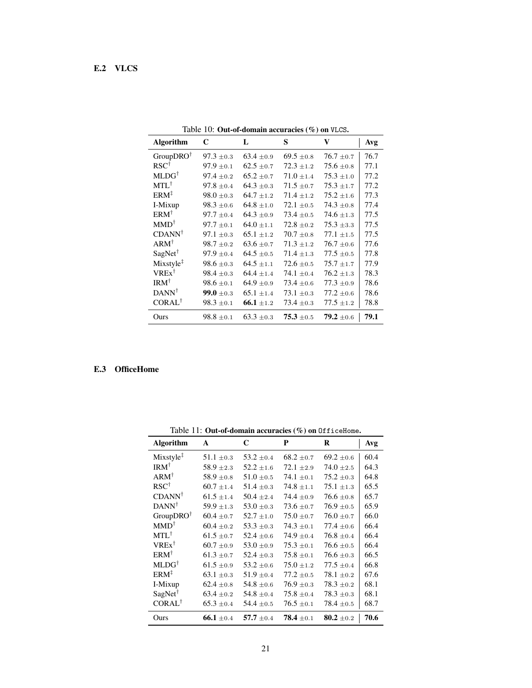| <b>Algorithm</b>      | C              | L              | S              | V              | Avg  |
|-----------------------|----------------|----------------|----------------|----------------|------|
| $GroupDRO^{\dagger}$  | $97.3 \pm 0.3$ | $63.4 \pm 0.9$ | $69.5 \pm 0.8$ | $76.7 \pm 0.7$ | 76.7 |
| $RSC^{\dagger}$       | $97.9 \pm 0.1$ | $62.5 \pm 0.7$ | $72.3 \pm 1.2$ | $75.6 \pm 0.8$ | 77.1 |
| $MLDG^{\dagger}$      | $97.4 \pm 0.2$ | $65.2 \pm 0.7$ | $71.0 + 1.4$   | $75.3 \pm 1.0$ | 77.2 |
| $MTL^{\dagger}$       | $97.8 \pm 0.4$ | $64.3 \pm 0.3$ | $71.5 \pm 0.7$ | $75.3 \pm 1.7$ | 77.2 |
| $ERM^{\ddagger}$      | $98.0 \pm 0.3$ | $64.7 \pm 1.2$ | $71.4 \pm 1.2$ | $75.2 + 1.6$   | 77.3 |
| I-Mixup               | $98.3 \pm 0.6$ | $64.8 \pm 1.0$ | $72.1 \pm 0.5$ | $74.3 \pm 0.8$ | 77.4 |
| $ERM^{\dagger}$       | $97.7 \pm 0.4$ | $64.3 \pm 0.9$ | $73.4 \pm 0.5$ | $74.6 \pm 1.3$ | 77.5 |
| $MMD^{\dagger}$       | $97.7 \pm 0.1$ | $64.0 + 1.1$   | $72.8 \pm 0.2$ | $75.3 \pm 3.3$ | 77.5 |
| $CDANN^{\dagger}$     | $97.1 \pm 0.3$ | $65.1 \pm 1.2$ | $70.7 \pm 0.8$ | $77.1 \pm 1.5$ | 77.5 |
| $ARM^{\dagger}$       | $98.7 \pm 0.2$ | $63.6 + 0.7$   | $71.3 \pm 1.2$ | $76.7 \pm 0.6$ | 77.6 |
| $SagNet^{\dagger}$    | $97.9 \pm 0.4$ | $64.5 + 0.5$   | $71.4 + 1.3$   | $77.5 + 0.5$   | 77.8 |
| Mixstyle <sup>‡</sup> | $98.6 \pm 0.3$ | $64.5 \pm 1.1$ | $72.6 \pm 0.5$ | $75.7 \pm 1.7$ | 77.9 |
| $VREx^{\dagger}$      | $98.4 \pm 0.3$ | $64.4 + 1.4$   | $74.1 \pm 0.4$ | $76.2 \pm 1.3$ | 78.3 |
| $IRM^{\dagger}$       | $98.6 \pm 0.1$ | $64.9 \pm 0.9$ | $73.4 \pm 0.6$ | $77.3 \pm 0.9$ | 78.6 |
| $DANN^{\dagger}$      | 99.0 $\pm$ 0.3 | $65.1 \pm 1.4$ | $73.1 \pm 0.3$ | $77.2 \pm 0.6$ | 78.6 |
| $CORAL^{\dagger}$     | $98.3 \pm 0.1$ | 66.1 $\pm$ 1.2 | $73.4 \pm 0.3$ | $77.5 \pm 1.2$ | 78.8 |
| Ours                  | $98.8 \pm 0.1$ | $63.3 \pm 0.3$ | $75.3 \pm 0.5$ | 79.2 $\pm 0.6$ | 79.1 |

Table 10: Out-of-domain accuracies (%) on VLCS.

# E.3 OfficeHome

|                       | rable 11. Out-of-domain accuracies ( $\pi$ ) on 0111 centence. |                |                |                |      |  |  |  |  |
|-----------------------|----------------------------------------------------------------|----------------|----------------|----------------|------|--|--|--|--|
| <b>Algorithm</b>      | A                                                              | $\mathbf C$    | P              | R              | Avg  |  |  |  |  |
| Mixstyle <sup>‡</sup> | $51.1 \pm 0.3$                                                 | $53.2 \pm 0.4$ | $68.2 \pm 0.7$ | $69.2 \pm 0.6$ | 60.4 |  |  |  |  |
| $IRM^{\dagger}$       | $58.9 \pm 2.3$                                                 | $52.2 \pm 1.6$ | $72.1 \pm 2.9$ | $74.0 \pm 2.5$ | 64.3 |  |  |  |  |
| $ARM^{\dagger}$       | $58.9 \pm 0.8$                                                 | $51.0 \pm 0.5$ | $74.1 \pm 0.1$ | $75.2 \pm 0.3$ | 64.8 |  |  |  |  |
| $RSC^{\dagger}$       | $60.7 \pm 1.4$                                                 | $51.4 \pm 0.3$ | $74.8 \pm 1.1$ | $75.1 \pm 1.3$ | 65.5 |  |  |  |  |
| $CDANN^{\dagger}$     | $61.5 \pm 1.4$                                                 | $50.4 \pm 2.4$ | 74.4 $\pm 0.9$ | $76.6 \pm 0.8$ | 65.7 |  |  |  |  |
| $DANN^{\dagger}$      | 59.9 $\pm$ 1.3                                                 | $53.0 \pm 0.3$ | $73.6 \pm 0.7$ | $76.9 \pm 0.5$ | 65.9 |  |  |  |  |
| $GroupDRO^{\dagger}$  | $60.4 \pm 0.7$                                                 | $52.7 \pm 1.0$ | $75.0 \pm 0.7$ | $76.0 \pm 0.7$ | 66.0 |  |  |  |  |
| $MMD^{\dagger}$       | $60.4 \pm 0.2$                                                 | $53.3 \pm 0.3$ | $74.3 \pm 0.1$ | $77.4 \pm 0.6$ | 66.4 |  |  |  |  |
| $MTL^{\dagger}$       | $61.5 \pm 0.7$                                                 | $52.4 \pm 0.6$ | $74.9 \pm 0.4$ | $76.8 \pm 0.4$ | 66.4 |  |  |  |  |
| $VREx^{\dagger}$      | $60.7 \pm 0.9$                                                 | $53.0 \pm 0.9$ | $75.3 \pm 0.1$ | $76.6 \pm 0.5$ | 66.4 |  |  |  |  |
| $ERM^{\dagger}$       | $61.3 \pm 0.7$                                                 | $52.4 \pm 0.3$ | $75.8 \pm 0.1$ | $76.6 \pm 0.3$ | 66.5 |  |  |  |  |
| $MLDG^{\dagger}$      | $61.5 \pm 0.9$                                                 | $53.2 \pm 0.6$ | $75.0 \pm 1.2$ | $77.5 \pm 0.4$ | 66.8 |  |  |  |  |
| $ERM^{\ddagger}$      | $63.1 \pm 0.3$                                                 | $51.9 \pm 0.4$ | $77.2 \pm 0.5$ | $78.1 \pm 0.2$ | 67.6 |  |  |  |  |
| I-Mixup               | $62.4 \pm 0.8$                                                 | 54.8 $\pm$ 0.6 | $76.9 \pm 0.3$ | $78.3 \pm 0.2$ | 68.1 |  |  |  |  |
| $SagNet^{\dagger}$    | $63.4 \pm 0.2$                                                 | $54.8 \pm 0.4$ | $75.8 \pm 0.4$ | $78.3 \pm 0.3$ | 68.1 |  |  |  |  |
| CORAL <sup>†</sup>    | $65.3 \pm 0.4$                                                 | $54.4 \pm 0.5$ | $76.5 \pm 0.1$ | $78.4 \pm 0.5$ | 68.7 |  |  |  |  |
| Ours                  | 66.1 $\pm 0.4$                                                 | 57.7 $\pm$ 0.4 | $78.4 \pm 0.1$ | 80.2 $\pm$ 0.2 | 70.6 |  |  |  |  |

Table 11: Out-of-domain accuracies (%) on OfficeHome.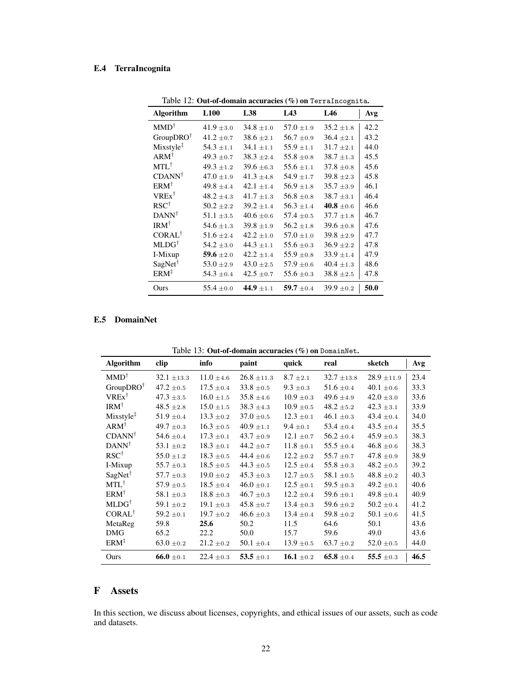# E.4 TerraIncognita

| <b>Algorithm</b>      | <b>L100</b>    | L38            | L43            | ပ<br>L46       | Avg  |
|-----------------------|----------------|----------------|----------------|----------------|------|
| $MMD^{\dagger}$       | $41.9 \pm 3.0$ | $34.8 \pm 1.0$ | $57.0 \pm 1.9$ | $35.2 \pm 1.8$ | 42.2 |
| $GroupDRO^{\dagger}$  | $41.2 \pm 0.7$ | $38.6 \pm 2.1$ | $56.7 \pm 0.9$ | $36.4 \pm 2.1$ | 43.2 |
| $Mixstyle^{\ddagger}$ | $54.3 \pm 1.1$ | $34.1 \pm 1.1$ | $55.9 \pm 1.1$ | $31.7 \pm 2.1$ | 44.0 |
| $ARM^{\dagger}$       | 49.3 $\pm$ 0.7 | $38.3 \pm 2.4$ | $55.8 \pm 0.8$ | $38.7 \pm 1.3$ | 45.5 |
| $MTL^{\dagger}$       | 49.3 $\pm$ 1.2 | $39.6 \pm 6.3$ | $55.6 \pm 1.1$ | $37.8 \pm 0.8$ | 45.6 |
| $CDANN^{\dagger}$     | $47.0 \pm 1.9$ | $41.3 \pm 4.8$ | $54.9 \pm 1.7$ | $39.8 \pm 2.3$ | 45.8 |
| $ERM^{\dagger}$       | 49.8 $\pm 4.4$ | $42.1 \pm 1.4$ | $56.9 \pm 1.8$ | $35.7 \pm 3.9$ | 46.1 |
| $VREx^{\dagger}$      | $48.2 \pm 4.3$ | $41.7 \pm 1.3$ | $56.8 \pm 0.8$ | $38.7 \pm 3.1$ | 46.4 |
| $RSC^{\dagger}$       | $50.2 \pm 2.2$ | $39.2 \pm 1.4$ | $56.3 \pm 1.4$ | 40.8 $\pm 0.6$ | 46.6 |
| $DANN^{\dagger}$      | $51.1 \pm 3.5$ | $40.6 \pm 0.6$ | $57.4 \pm 0.5$ | $37.7 \pm 1.8$ | 46.7 |
| $IRM^{\dagger}$       | 54.6 $\pm$ 1.3 | $39.8 \pm 1.9$ | $56.2 \pm 1.8$ | $39.6 \pm 0.8$ | 47.6 |
| $CORAL^{\dagger}$     | $51.6 \pm 2.4$ | $42.2 \pm 1.0$ | $57.0 \pm 1.0$ | $39.8 \pm 2.9$ | 47.7 |
| $MLDG^{\dagger}$      | $54.2 \pm 3.0$ | 44.3 $\pm$ 1.1 | 55.6 $\pm$ 0.3 | $36.9 \pm 2.2$ | 47.8 |
| I-Mixup               | 59.6 $\pm 2.0$ | $42.2 \pm 1.4$ | $55.9 \pm 0.8$ | $33.9 \pm 1.4$ | 47.9 |
| $SagNet^{\dagger}$    | $53.0 \pm 2.9$ | $43.0 \pm 2.5$ | $57.9 \pm 0.6$ | $40.4 \pm 1.3$ | 48.6 |
| $ERM^{\ddagger}$      | $54.3 \pm 0.4$ | 42.5 $\pm$ 0.7 | 55.6 $\pm$ 0.3 | $38.8 \pm 2.5$ | 47.8 |
| Ours                  | $55.4 \pm 0.0$ | 44.9 $\pm 1.1$ | 59.7 $\pm$ 0.4 | $39.9 \pm 0.2$ | 50.0 |

Table 12: Out-of-domain accuracies (%) on TerraIncognita.

### E.5 DomainNet

| <b>Algorithm</b>      | clip            | info           | paint           | quick          | real            | sketch          | Avg  |  |  |  |  |
|-----------------------|-----------------|----------------|-----------------|----------------|-----------------|-----------------|------|--|--|--|--|
| $MMD^{\dagger}$       | $32.1 \pm 13.3$ | $11.0 \pm 4.6$ | $26.8 \pm 11.3$ | $8.7 \pm 2.1$  | $32.7 \pm 13.8$ | $28.9 \pm 11.9$ | 23.4 |  |  |  |  |
| $GroupDRO^{\dagger}$  | $47.2 \pm 0.5$  | $17.5 \pm 0.4$ | $33.8 \pm 0.5$  | $9.3 \pm 0.3$  | $51.6 \pm 0.4$  | $40.1 \pm 0.6$  | 33.3 |  |  |  |  |
| $VREx^{\dagger}$      | $47.3 \pm 3.5$  | $16.0 \pm 1.5$ | $35.8 \pm 4.6$  | $10.9 \pm 0.3$ | 49.6 $\pm$ 4.9  | $42.0 \pm 3.0$  | 33.6 |  |  |  |  |
| $IRM^{\dagger}$       | $48.5 \pm 2.8$  | $15.0 \pm 1.5$ | $38.3 \pm 4.3$  | $10.9 \pm 0.5$ | $48.2 \pm 5.2$  | $42.3 \pm 3.1$  | 33.9 |  |  |  |  |
| $Mixstyle^{\ddagger}$ | $51.9 \pm 0.4$  | $13.3 \pm 0.2$ | $37.0 \pm 0.5$  | $12.3 \pm 0.1$ | $46.1 \pm 0.3$  | 43.4 $\pm$ 0.4  | 34.0 |  |  |  |  |
| $ARM^{\dagger}$       | 49.7 $\pm$ 0.3  | $16.3 \pm 0.5$ | $40.9 \pm 1.1$  | $9.4 \pm 0.1$  | $53.4 \pm 0.4$  | 43.5 $\pm$ 0.4  | 35.5 |  |  |  |  |
| $CDANN^{\dagger}$     | 54.6 $\pm$ 0.4  | $17.3 \pm 0.1$ | $43.7 \pm 0.9$  | $12.1 \pm 0.7$ | $56.2 \pm 0.4$  | $45.9 \pm 0.5$  | 38.3 |  |  |  |  |
| $DANN^{\dagger}$      | 53.1 $\pm$ 0.2  | $18.3 \pm 0.1$ | 44.2 $\pm$ 0.7  | $11.8 \pm 0.1$ | $55.5 \pm 0.4$  | $46.8 \pm 0.6$  | 38.3 |  |  |  |  |
| $RSC^{\dagger}$       | $55.0 \pm 1.2$  | $18.3 \pm 0.5$ | 44.4 $\pm$ 0.6  | $12.2 \pm 0.2$ | $55.7 \pm 0.7$  | $47.8 \pm 0.9$  | 38.9 |  |  |  |  |
| I-Mixup               | $55.7 \pm 0.3$  | $18.5 \pm 0.5$ | 44.3 $\pm$ 0.5  | $12.5 \pm 0.4$ | 55.8 $\pm$ 0.3  | $48.2 \pm 0.5$  | 39.2 |  |  |  |  |
| $SagNet^{\dagger}$    | $57.7 \pm 0.3$  | $19.0 \pm 0.2$ | $45.3 \pm 0.3$  | $12.7 \pm 0.5$ | $58.1 \pm 0.5$  | $48.8 \pm 0.2$  | 40.3 |  |  |  |  |
| $MTL^{\dagger}$       | $57.9 \pm 0.5$  | $18.5 \pm 0.4$ | $46.0 \pm 0.1$  | $12.5 \pm 0.1$ | 59.5 $\pm$ 0.3  | $49.2 \pm 0.1$  | 40.6 |  |  |  |  |
| $ERM^{\dagger}$       | $58.1 \pm 0.3$  | $18.8 \pm 0.3$ | $46.7 \pm 0.3$  | $12.2 \pm 0.4$ | 59.6 $\pm$ 0.1  | 49.8 $\pm$ 0.4  | 40.9 |  |  |  |  |
| $MLDG^{\dagger}$      | 59.1 $\pm$ 0.2  | $19.1 \pm 0.3$ | $45.8 \pm 0.7$  | $13.4 \pm 0.3$ | 59.6 $\pm$ 0.2  | $50.2 \pm 0.4$  | 41.2 |  |  |  |  |
| CORAL <sup>†</sup>    | $59.2 \pm 0.1$  | $19.7 \pm 0.2$ | $46.6 \pm 0.3$  | $13.4 \pm 0.4$ | $59.8 \pm 0.2$  | $50.1 \pm 0.6$  | 41.5 |  |  |  |  |
| MetaReg               | 59.8            | 25.6           | 50.2            | 11.5           | 64.6            | 50.1            | 43.6 |  |  |  |  |
| <b>DMG</b>            | 65.2            | 22.2           | 50.0            | 15.7           | 59.6            | 49.0            | 43.6 |  |  |  |  |
| $ERM^{\ddagger}$      | $63.0 \pm 0.2$  | $21.2 \pm 0.2$ | $50.1 \pm 0.4$  | $13.9 \pm 0.5$ | $63.7 \pm 0.2$  | $52.0 \pm 0.5$  | 44.0 |  |  |  |  |
| Ours                  | 66.0 $\pm$ 0.1  | $22.4 \pm 0.3$ | 53.5 $\pm$ 0.1  | 16.1 $\pm$ 0.2 | 65.8 $\pm$ 0.4  | 55.5 $\pm 0.3$  | 46.5 |  |  |  |  |

Table 13: Out-of-domain accuracies (%) on DomainNet.

# F Assets

In this section, we discuss about licenses, copyrights, and ethical issues of our assets, such as code and datasets.